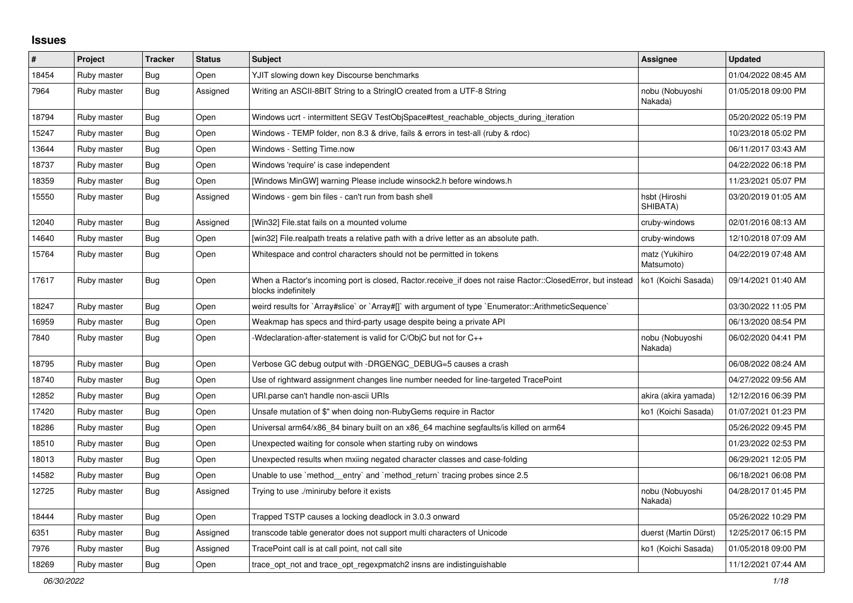## **Issues**

| #     | Project     | <b>Tracker</b> | <b>Status</b> | <b>Subject</b>                                                                                                                    | Assignee                     | <b>Updated</b>      |
|-------|-------------|----------------|---------------|-----------------------------------------------------------------------------------------------------------------------------------|------------------------------|---------------------|
| 18454 | Ruby master | <b>Bug</b>     | Open          | YJIT slowing down key Discourse benchmarks                                                                                        |                              | 01/04/2022 08:45 AM |
| 7964  | Ruby master | Bug            | Assigned      | Writing an ASCII-8BIT String to a StringIO created from a UTF-8 String                                                            | nobu (Nobuyoshi<br>Nakada)   | 01/05/2018 09:00 PM |
| 18794 | Ruby master | <b>Bug</b>     | Open          | Windows ucrt - intermittent SEGV TestObjSpace#test reachable objects during iteration                                             |                              | 05/20/2022 05:19 PM |
| 15247 | Ruby master | <b>Bug</b>     | Open          | Windows - TEMP folder, non 8.3 & drive, fails & errors in test-all (ruby & rdoc)                                                  |                              | 10/23/2018 05:02 PM |
| 13644 | Ruby master | <b>Bug</b>     | Open          | Windows - Setting Time.now                                                                                                        |                              | 06/11/2017 03:43 AM |
| 18737 | Ruby master | Bug            | Open          | Windows 'require' is case independent                                                                                             |                              | 04/22/2022 06:18 PM |
| 18359 | Ruby master | <b>Bug</b>     | Open          | [Windows MinGW] warning Please include winsock2.h before windows.h                                                                |                              | 11/23/2021 05:07 PM |
| 15550 | Ruby master | <b>Bug</b>     | Assigned      | Windows - gem bin files - can't run from bash shell                                                                               | hsbt (Hiroshi<br>SHIBATA)    | 03/20/2019 01:05 AM |
| 12040 | Ruby master | Bug            | Assigned      | [Win32] File.stat fails on a mounted volume                                                                                       | cruby-windows                | 02/01/2016 08:13 AM |
| 14640 | Ruby master | Bug            | Open          | [win32] File.realpath treats a relative path with a drive letter as an absolute path.                                             | cruby-windows                | 12/10/2018 07:09 AM |
| 15764 | Ruby master | Bug            | Open          | Whitespace and control characters should not be permitted in tokens                                                               | matz (Yukihiro<br>Matsumoto) | 04/22/2019 07:48 AM |
| 17617 | Ruby master | <b>Bug</b>     | Open          | When a Ractor's incoming port is closed, Ractor receive_if does not raise Ractor::ClosedError, but instead<br>blocks indefinitely | ko1 (Koichi Sasada)          | 09/14/2021 01:40 AM |
| 18247 | Ruby master | <b>Bug</b>     | Open          | weird results for `Array#slice` or `Array#[]` with argument of type `Enumerator::ArithmeticSequence`                              |                              | 03/30/2022 11:05 PM |
| 16959 | Ruby master | <b>Bug</b>     | Open          | Weakmap has specs and third-party usage despite being a private API                                                               |                              | 06/13/2020 08:54 PM |
| 7840  | Ruby master | Bug            | Open          | -Wdeclaration-after-statement is valid for C/ObjC but not for C++                                                                 | nobu (Nobuyoshi<br>Nakada)   | 06/02/2020 04:41 PM |
| 18795 | Ruby master | <b>Bug</b>     | Open          | Verbose GC debug output with -DRGENGC_DEBUG=5 causes a crash                                                                      |                              | 06/08/2022 08:24 AM |
| 18740 | Ruby master | <b>Bug</b>     | Open          | Use of rightward assignment changes line number needed for line-targeted TracePoint                                               |                              | 04/27/2022 09:56 AM |
| 12852 | Ruby master | Bug            | Open          | URI.parse can't handle non-ascii URIs                                                                                             | akira (akira yamada)         | 12/12/2016 06:39 PM |
| 17420 | Ruby master | Bug            | Open          | Unsafe mutation of \$" when doing non-RubyGems require in Ractor                                                                  | ko1 (Koichi Sasada)          | 01/07/2021 01:23 PM |
| 18286 | Ruby master | <b>Bug</b>     | Open          | Universal arm64/x86 84 binary built on an x86 64 machine segfaults/is killed on arm64                                             |                              | 05/26/2022 09:45 PM |
| 18510 | Ruby master | <b>Bug</b>     | Open          | Unexpected waiting for console when starting ruby on windows                                                                      |                              | 01/23/2022 02:53 PM |
| 18013 | Ruby master | <b>Bug</b>     | Open          | Unexpected results when mxiing negated character classes and case-folding                                                         |                              | 06/29/2021 12:05 PM |
| 14582 | Ruby master | Bug            | Open          | Unable to use `method __entry` and `method_return` tracing probes since 2.5                                                       |                              | 06/18/2021 06:08 PM |
| 12725 | Ruby master | Bug            | Assigned      | Trying to use ./miniruby before it exists                                                                                         | nobu (Nobuyoshi<br>Nakada)   | 04/28/2017 01:45 PM |
| 18444 | Ruby master | <b>Bug</b>     | Open          | Trapped TSTP causes a locking deadlock in 3.0.3 onward                                                                            |                              | 05/26/2022 10:29 PM |
| 6351  | Ruby master | Bug            | Assigned      | transcode table generator does not support multi characters of Unicode                                                            | duerst (Martin Dürst)        | 12/25/2017 06:15 PM |
| 7976  | Ruby master | <b>Bug</b>     | Assigned      | TracePoint call is at call point, not call site                                                                                   | ko1 (Koichi Sasada)          | 01/05/2018 09:00 PM |
| 18269 | Ruby master | <b>Bug</b>     | Open          | trace opt not and trace opt regexpmatch2 insns are indistinguishable                                                              |                              | 11/12/2021 07:44 AM |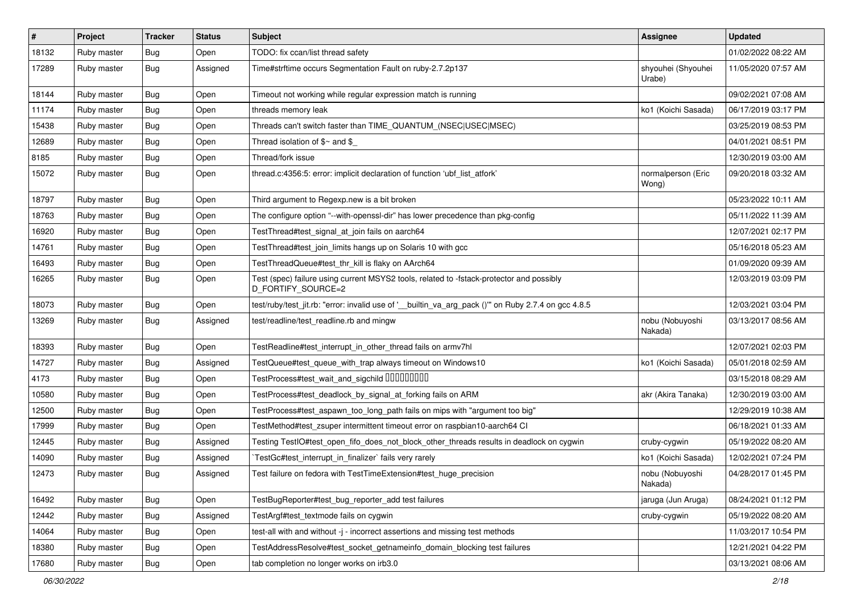| $\vert$ # | Project     | <b>Tracker</b> | <b>Status</b> | Subject                                                                                                        | Assignee                     | <b>Updated</b>      |
|-----------|-------------|----------------|---------------|----------------------------------------------------------------------------------------------------------------|------------------------------|---------------------|
| 18132     | Ruby master | Bug            | Open          | TODO: fix ccan/list thread safety                                                                              |                              | 01/02/2022 08:22 AM |
| 17289     | Ruby master | Bug            | Assigned      | Time#strftime occurs Segmentation Fault on ruby-2.7.2p137                                                      | shyouhei (Shyouhei<br>Urabe) | 11/05/2020 07:57 AM |
| 18144     | Ruby master | Bug            | Open          | Timeout not working while regular expression match is running                                                  |                              | 09/02/2021 07:08 AM |
| 11174     | Ruby master | <b>Bug</b>     | Open          | threads memory leak                                                                                            | ko1 (Koichi Sasada)          | 06/17/2019 03:17 PM |
| 15438     | Ruby master | Bug            | Open          | Threads can't switch faster than TIME_QUANTUM_(NSEC USEC MSEC)                                                 |                              | 03/25/2019 08:53 PM |
| 12689     | Ruby master | Bug            | Open          | Thread isolation of $\frac{6}{3}$ and \$                                                                       |                              | 04/01/2021 08:51 PM |
| 8185      | Ruby master | <b>Bug</b>     | Open          | Thread/fork issue                                                                                              |                              | 12/30/2019 03:00 AM |
| 15072     | Ruby master | Bug            | Open          | thread.c:4356:5: error: implicit declaration of function 'ubf_list_atfork'                                     | normalperson (Eric<br>Wong)  | 09/20/2018 03:32 AM |
| 18797     | Ruby master | Bug            | Open          | Third argument to Regexp.new is a bit broken                                                                   |                              | 05/23/2022 10:11 AM |
| 18763     | Ruby master | <b>Bug</b>     | Open          | The configure option "--with-openssl-dir" has lower precedence than pkg-config                                 |                              | 05/11/2022 11:39 AM |
| 16920     | Ruby master | <b>Bug</b>     | Open          | TestThread#test_signal_at_join fails on aarch64                                                                |                              | 12/07/2021 02:17 PM |
| 14761     | Ruby master | Bug            | Open          | TestThread#test_join_limits hangs up on Solaris 10 with gcc                                                    |                              | 05/16/2018 05:23 AM |
| 16493     | Ruby master | <b>Bug</b>     | Open          | TestThreadQueue#test_thr_kill is flaky on AArch64                                                              |                              | 01/09/2020 09:39 AM |
| 16265     | Ruby master | <b>Bug</b>     | Open          | Test (spec) failure using current MSYS2 tools, related to -fstack-protector and possibly<br>D_FORTIFY_SOURCE=2 |                              | 12/03/2019 03:09 PM |
| 18073     | Ruby master | Bug            | Open          | test/ruby/test_jit.rb: "error: invalid use of '__builtin_va_arg_pack ()" on Ruby 2.7.4 on gcc 4.8.5            |                              | 12/03/2021 03:04 PM |
| 13269     | Ruby master | Bug            | Assigned      | test/readline/test_readline.rb and mingw                                                                       | nobu (Nobuyoshi<br>Nakada)   | 03/13/2017 08:56 AM |
| 18393     | Ruby master | <b>Bug</b>     | Open          | TestReadline#test_interrupt_in_other_thread fails on armv7hl                                                   |                              | 12/07/2021 02:03 PM |
| 14727     | Ruby master | <b>Bug</b>     | Assigned      | TestQueue#test_queue_with_trap always timeout on Windows10                                                     | ko1 (Koichi Sasada)          | 05/01/2018 02:59 AM |
| 4173      | Ruby master | <b>Bug</b>     | Open          | TestProcess#test_wait_and_sigchild DDDDDDDD                                                                    |                              | 03/15/2018 08:29 AM |
| 10580     | Ruby master | Bug            | Open          | TestProcess#test_deadlock_by_signal_at_forking fails on ARM                                                    | akr (Akira Tanaka)           | 12/30/2019 03:00 AM |
| 12500     | Ruby master | <b>Bug</b>     | Open          | TestProcess#test_aspawn_too_long_path fails on mips with "argument too big"                                    |                              | 12/29/2019 10:38 AM |
| 17999     | Ruby master | <b>Bug</b>     | Open          | TestMethod#test_zsuper intermittent timeout error on raspbian10-aarch64 CI                                     |                              | 06/18/2021 01:33 AM |
| 12445     | Ruby master | <b>Bug</b>     | Assigned      | Testing TestIO#test_open_fifo_does_not_block_other_threads results in deadlock on cygwin                       | cruby-cygwin                 | 05/19/2022 08:20 AM |
| 14090     | Ruby master | <b>Bug</b>     | Assigned      | TestGc#test_interrupt_in_finalizer`fails very rarely                                                           | ko1 (Koichi Sasada)          | 12/02/2021 07:24 PM |
| 12473     | Ruby master | <b>Bug</b>     | Assigned      | Test failure on fedora with TestTimeExtension#test_huge_precision                                              | nobu (Nobuyoshi<br>Nakada)   | 04/28/2017 01:45 PM |
| 16492     | Ruby master | Bug            | Open          | TestBugReporter#test_bug_reporter_add test failures                                                            | jaruga (Jun Aruga)           | 08/24/2021 01:12 PM |
| 12442     | Ruby master | <b>Bug</b>     | Assigned      | TestArgf#test_textmode fails on cygwin                                                                         | cruby-cygwin                 | 05/19/2022 08:20 AM |
| 14064     | Ruby master | Bug            | Open          | test-all with and without -j - incorrect assertions and missing test methods                                   |                              | 11/03/2017 10:54 PM |
| 18380     | Ruby master | Bug            | Open          | TestAddressResolve#test socket getnameinfo domain blocking test failures                                       |                              | 12/21/2021 04:22 PM |
| 17680     | Ruby master | <b>Bug</b>     | Open          | tab completion no longer works on irb3.0                                                                       |                              | 03/13/2021 08:06 AM |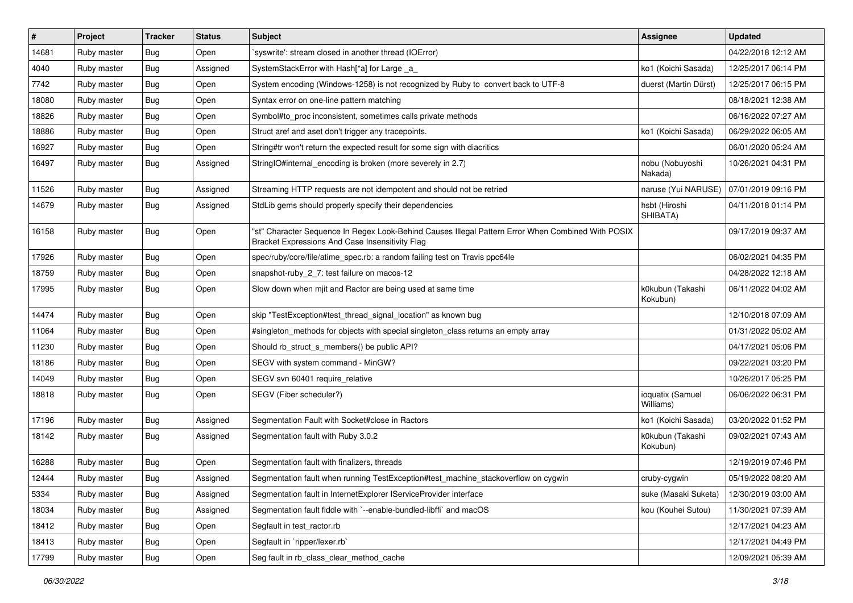| $\vert$ # | Project     | <b>Tracker</b> | <b>Status</b> | Subject                                                                                                                                               | <b>Assignee</b>               | <b>Updated</b>      |
|-----------|-------------|----------------|---------------|-------------------------------------------------------------------------------------------------------------------------------------------------------|-------------------------------|---------------------|
| 14681     | Ruby master | <b>Bug</b>     | Open          | syswrite': stream closed in another thread (IOError)                                                                                                  |                               | 04/22/2018 12:12 AM |
| 4040      | Ruby master | <b>Bug</b>     | Assigned      | SystemStackError with Hash[*a] for Large _a_                                                                                                          | ko1 (Koichi Sasada)           | 12/25/2017 06:14 PM |
| 7742      | Ruby master | Bug            | Open          | System encoding (Windows-1258) is not recognized by Ruby to convert back to UTF-8                                                                     | duerst (Martin Dürst)         | 12/25/2017 06:15 PM |
| 18080     | Ruby master | <b>Bug</b>     | Open          | Syntax error on one-line pattern matching                                                                                                             |                               | 08/18/2021 12:38 AM |
| 18826     | Ruby master | Bug            | Open          | Symbol#to_proc inconsistent, sometimes calls private methods                                                                                          |                               | 06/16/2022 07:27 AM |
| 18886     | Ruby master | <b>Bug</b>     | Open          | Struct aref and aset don't trigger any tracepoints.                                                                                                   | ko1 (Koichi Sasada)           | 06/29/2022 06:05 AM |
| 16927     | Ruby master | <b>Bug</b>     | Open          | String#tr won't return the expected result for some sign with diacritics                                                                              |                               | 06/01/2020 05:24 AM |
| 16497     | Ruby master | <b>Bug</b>     | Assigned      | StringIO#internal_encoding is broken (more severely in 2.7)                                                                                           | nobu (Nobuyoshi<br>Nakada)    | 10/26/2021 04:31 PM |
| 11526     | Ruby master | <b>Bug</b>     | Assigned      | Streaming HTTP requests are not idempotent and should not be retried                                                                                  | naruse (Yui NARUSE)           | 07/01/2019 09:16 PM |
| 14679     | Ruby master | Bug            | Assigned      | StdLib gems should properly specify their dependencies                                                                                                | hsbt (Hiroshi<br>SHIBATA)     | 04/11/2018 01:14 PM |
| 16158     | Ruby master | Bug            | Open          | 'st" Character Sequence In Regex Look-Behind Causes Illegal Pattern Error When Combined With POSIX<br>Bracket Expressions And Case Insensitivity Flag |                               | 09/17/2019 09:37 AM |
| 17926     | Ruby master | <b>Bug</b>     | Open          | spec/ruby/core/file/atime_spec.rb: a random failing test on Travis ppc64le                                                                            |                               | 06/02/2021 04:35 PM |
| 18759     | Ruby master | <b>Bug</b>     | Open          | snapshot-ruby_2_7: test failure on macos-12                                                                                                           |                               | 04/28/2022 12:18 AM |
| 17995     | Ruby master | Bug            | Open          | Slow down when mjit and Ractor are being used at same time                                                                                            | k0kubun (Takashi<br>Kokubun)  | 06/11/2022 04:02 AM |
| 14474     | Ruby master | <b>Bug</b>     | Open          | skip "TestException#test thread signal location" as known bug                                                                                         |                               | 12/10/2018 07:09 AM |
| 11064     | Ruby master | Bug            | Open          | #singleton_methods for objects with special singleton_class returns an empty array                                                                    |                               | 01/31/2022 05:02 AM |
| 11230     | Ruby master | <b>Bug</b>     | Open          | Should rb_struct_s_members() be public API?                                                                                                           |                               | 04/17/2021 05:06 PM |
| 18186     | Ruby master | Bug            | Open          | SEGV with system command - MinGW?                                                                                                                     |                               | 09/22/2021 03:20 PM |
| 14049     | Ruby master | <b>Bug</b>     | Open          | SEGV svn 60401 require relative                                                                                                                       |                               | 10/26/2017 05:25 PM |
| 18818     | Ruby master | <b>Bug</b>     | Open          | SEGV (Fiber scheduler?)                                                                                                                               | ioquatix (Samuel<br>Williams) | 06/06/2022 06:31 PM |
| 17196     | Ruby master | <b>Bug</b>     | Assigned      | Segmentation Fault with Socket#close in Ractors                                                                                                       | ko1 (Koichi Sasada)           | 03/20/2022 01:52 PM |
| 18142     | Ruby master | Bug            | Assigned      | Segmentation fault with Ruby 3.0.2                                                                                                                    | k0kubun (Takashi<br>Kokubun)  | 09/02/2021 07:43 AM |
| 16288     | Ruby master | <b>Bug</b>     | Open          | Segmentation fault with finalizers, threads                                                                                                           |                               | 12/19/2019 07:46 PM |
| 12444     | Ruby master | Bug            | Assigned      | Segmentation fault when running TestException#test_machine_stackoverflow on cygwin                                                                    | cruby-cygwin                  | 05/19/2022 08:20 AM |
| 5334      | Ruby master | Bug            | Assigned      | Segmentation fault in InternetExplorer IServiceProvider interface                                                                                     | suke (Masaki Suketa)          | 12/30/2019 03:00 AM |
| 18034     | Ruby master | <b>Bug</b>     | Assigned      | Segmentation fault fiddle with `--enable-bundled-libffi` and macOS                                                                                    | kou (Kouhei Sutou)            | 11/30/2021 07:39 AM |
| 18412     | Ruby master | <b>Bug</b>     | Open          | Segfault in test_ractor.rb                                                                                                                            |                               | 12/17/2021 04:23 AM |
| 18413     | Ruby master | <b>Bug</b>     | Open          | Segfault in 'ripper/lexer.rb'                                                                                                                         |                               | 12/17/2021 04:49 PM |
| 17799     | Ruby master | <b>Bug</b>     | Open          | Seg fault in rb_class_clear_method_cache                                                                                                              |                               | 12/09/2021 05:39 AM |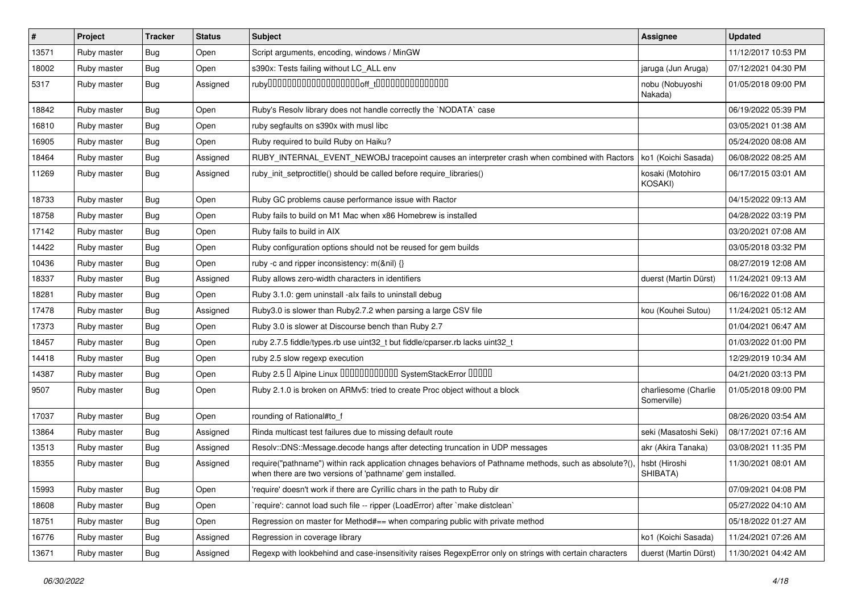| $\sharp$ | Project     | <b>Tracker</b> | <b>Status</b> | Subject                                                                                                                                                            | <b>Assignee</b>                     | <b>Updated</b>      |
|----------|-------------|----------------|---------------|--------------------------------------------------------------------------------------------------------------------------------------------------------------------|-------------------------------------|---------------------|
| 13571    | Ruby master | Bug            | Open          | Script arguments, encoding, windows / MinGW                                                                                                                        |                                     | 11/12/2017 10:53 PM |
| 18002    | Ruby master | Bug            | Open          | s390x: Tests failing without LC_ALL env                                                                                                                            | jaruga (Jun Aruga)                  | 07/12/2021 04:30 PM |
| 5317     | Ruby master | Bug            | Assigned      |                                                                                                                                                                    | nobu (Nobuyoshi<br>Nakada)          | 01/05/2018 09:00 PM |
| 18842    | Ruby master | <b>Bug</b>     | Open          | Ruby's Resolv library does not handle correctly the `NODATA` case                                                                                                  |                                     | 06/19/2022 05:39 PM |
| 16810    | Ruby master | Bug            | Open          | ruby segfaults on s390x with musl libc                                                                                                                             |                                     | 03/05/2021 01:38 AM |
| 16905    | Ruby master | <b>Bug</b>     | Open          | Ruby required to build Ruby on Haiku?                                                                                                                              |                                     | 05/24/2020 08:08 AM |
| 18464    | Ruby master | Bug            | Assigned      | RUBY_INTERNAL_EVENT_NEWOBJ tracepoint causes an interpreter crash when combined with Ractors                                                                       | ko1 (Koichi Sasada)                 | 06/08/2022 08:25 AM |
| 11269    | Ruby master | Bug            | Assigned      | ruby_init_setproctitle() should be called before require_libraries()                                                                                               | kosaki (Motohiro<br>KOSAKI)         | 06/17/2015 03:01 AM |
| 18733    | Ruby master | <b>Bug</b>     | Open          | Ruby GC problems cause performance issue with Ractor                                                                                                               |                                     | 04/15/2022 09:13 AM |
| 18758    | Ruby master | <b>Bug</b>     | Open          | Ruby fails to build on M1 Mac when x86 Homebrew is installed                                                                                                       |                                     | 04/28/2022 03:19 PM |
| 17142    | Ruby master | <b>Bug</b>     | Open          | Ruby fails to build in AIX                                                                                                                                         |                                     | 03/20/2021 07:08 AM |
| 14422    | Ruby master | Bug            | Open          | Ruby configuration options should not be reused for gem builds                                                                                                     |                                     | 03/05/2018 03:32 PM |
| 10436    | Ruby master | <b>Bug</b>     | Open          | ruby -c and ripper inconsistency: m(&nil) {}                                                                                                                       |                                     | 08/27/2019 12:08 AM |
| 18337    | Ruby master | Bug            | Assigned      | Ruby allows zero-width characters in identifiers                                                                                                                   | duerst (Martin Dürst)               | 11/24/2021 09:13 AM |
| 18281    | Ruby master | <b>Bug</b>     | Open          | Ruby 3.1.0: gem uninstall -alx fails to uninstall debug                                                                                                            |                                     | 06/16/2022 01:08 AM |
| 17478    | Ruby master | <b>Bug</b>     | Assigned      | Ruby3.0 is slower than Ruby2.7.2 when parsing a large CSV file                                                                                                     | kou (Kouhei Sutou)                  | 11/24/2021 05:12 AM |
| 17373    | Ruby master | <b>Bug</b>     | Open          | Ruby 3.0 is slower at Discourse bench than Ruby 2.7                                                                                                                |                                     | 01/04/2021 06:47 AM |
| 18457    | Ruby master | <b>Bug</b>     | Open          | ruby 2.7.5 fiddle/types.rb use uint32_t but fiddle/cparser.rb lacks uint32_t                                                                                       |                                     | 01/03/2022 01:00 PM |
| 14418    | Ruby master | <b>Bug</b>     | Open          | ruby 2.5 slow regexp execution                                                                                                                                     |                                     | 12/29/2019 10:34 AM |
| 14387    | Ruby master | Bug            | Open          | Ruby 2.5 <sup>D</sup> Alpine Linux 000000000000 SystemStackError 00000                                                                                             |                                     | 04/21/2020 03:13 PM |
| 9507     | Ruby master | <b>Bug</b>     | Open          | Ruby 2.1.0 is broken on ARMv5: tried to create Proc object without a block                                                                                         | charliesome (Charlie<br>Somerville) | 01/05/2018 09:00 PM |
| 17037    | Ruby master | <b>Bug</b>     | Open          | rounding of Rational#to_f                                                                                                                                          |                                     | 08/26/2020 03:54 AM |
| 13864    | Ruby master | <b>Bug</b>     | Assigned      | Rinda multicast test failures due to missing default route                                                                                                         | seki (Masatoshi Seki)               | 08/17/2021 07:16 AM |
| 13513    | Ruby master | Bug            | Assigned      | Resolv::DNS::Message.decode hangs after detecting truncation in UDP messages                                                                                       | akr (Akira Tanaka)                  | 03/08/2021 11:35 PM |
| 18355    | Ruby master | <b>Bug</b>     | Assigned      | require("pathname") within rack application chnages behaviors of Pathname methods, such as absolute?()<br>when there are two versions of 'pathname' gem installed. | hsbt (Hiroshi<br>SHIBATA)           | 11/30/2021 08:01 AM |
| 15993    | Ruby master | Bug            | Open          | 'require' doesn't work if there are Cyrillic chars in the path to Ruby dir                                                                                         |                                     | 07/09/2021 04:08 PM |
| 18608    | Ruby master | <b>Bug</b>     | Open          | 'require': cannot load such file -- ripper (LoadError) after 'make distclean'                                                                                      |                                     | 05/27/2022 04:10 AM |
| 18751    | Ruby master | <b>Bug</b>     | Open          | Regression on master for Method#== when comparing public with private method                                                                                       |                                     | 05/18/2022 01:27 AM |
| 16776    | Ruby master | <b>Bug</b>     | Assigned      | Regression in coverage library                                                                                                                                     | ko1 (Koichi Sasada)                 | 11/24/2021 07:26 AM |
| 13671    | Ruby master | <b>Bug</b>     | Assigned      | Regexp with lookbehind and case-insensitivity raises RegexpError only on strings with certain characters                                                           | duerst (Martin Dürst)               | 11/30/2021 04:42 AM |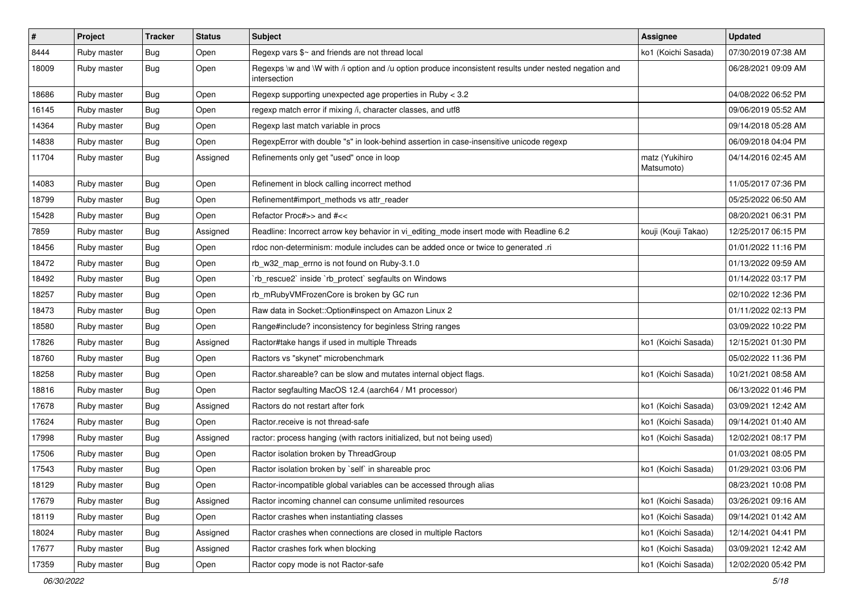| $\sharp$ | Project     | <b>Tracker</b> | <b>Status</b> | <b>Subject</b>                                                                                                        | Assignee                     | Updated             |
|----------|-------------|----------------|---------------|-----------------------------------------------------------------------------------------------------------------------|------------------------------|---------------------|
| 8444     | Ruby master | Bug            | Open          | Regexp vars $\frac{6}{5}$ and friends are not thread local                                                            | ko1 (Koichi Sasada)          | 07/30/2019 07:38 AM |
| 18009    | Ruby master | Bug            | Open          | Regexps \w and \W with /i option and /u option produce inconsistent results under nested negation and<br>intersection |                              | 06/28/2021 09:09 AM |
| 18686    | Ruby master | Bug            | Open          | Regexp supporting unexpected age properties in Ruby < 3.2                                                             |                              | 04/08/2022 06:52 PM |
| 16145    | Ruby master | Bug            | Open          | regexp match error if mixing /i, character classes, and utf8                                                          |                              | 09/06/2019 05:52 AM |
| 14364    | Ruby master | Bug            | Open          | Regexp last match variable in procs                                                                                   |                              | 09/14/2018 05:28 AM |
| 14838    | Ruby master | Bug            | Open          | RegexpError with double "s" in look-behind assertion in case-insensitive unicode regexp                               |                              | 06/09/2018 04:04 PM |
| 11704    | Ruby master | <b>Bug</b>     | Assigned      | Refinements only get "used" once in loop                                                                              | matz (Yukihiro<br>Matsumoto) | 04/14/2016 02:45 AM |
| 14083    | Ruby master | Bug            | Open          | Refinement in block calling incorrect method                                                                          |                              | 11/05/2017 07:36 PM |
| 18799    | Ruby master | Bug            | Open          | Refinement#import_methods vs attr_reader                                                                              |                              | 05/25/2022 06:50 AM |
| 15428    | Ruby master | <b>Bug</b>     | Open          | Refactor Proc#>> and #<<                                                                                              |                              | 08/20/2021 06:31 PM |
| 7859     | Ruby master | <b>Bug</b>     | Assigned      | Readline: Incorrect arrow key behavior in vi_editing_mode insert mode with Readline 6.2                               | kouji (Kouji Takao)          | 12/25/2017 06:15 PM |
| 18456    | Ruby master | Bug            | Open          | rdoc non-determinism: module includes can be added once or twice to generated .ri                                     |                              | 01/01/2022 11:16 PM |
| 18472    | Ruby master | Bug            | Open          | rb_w32_map_errno is not found on Ruby-3.1.0                                                                           |                              | 01/13/2022 09:59 AM |
| 18492    | Ruby master | Bug            | Open          | 'rb_rescue2' inside 'rb_protect' segfaults on Windows                                                                 |                              | 01/14/2022 03:17 PM |
| 18257    | Ruby master | Bug            | Open          | rb_mRubyVMFrozenCore is broken by GC run                                                                              |                              | 02/10/2022 12:36 PM |
| 18473    | Ruby master | Bug            | Open          | Raw data in Socket:: Option#inspect on Amazon Linux 2                                                                 |                              | 01/11/2022 02:13 PM |
| 18580    | Ruby master | Bug            | Open          | Range#include? inconsistency for beginless String ranges                                                              |                              | 03/09/2022 10:22 PM |
| 17826    | Ruby master | Bug            | Assigned      | Ractor#take hangs if used in multiple Threads                                                                         | ko1 (Koichi Sasada)          | 12/15/2021 01:30 PM |
| 18760    | Ruby master | <b>Bug</b>     | Open          | Ractors vs "skynet" microbenchmark                                                                                    |                              | 05/02/2022 11:36 PM |
| 18258    | Ruby master | Bug            | Open          | Ractor shareable? can be slow and mutates internal object flags.                                                      | ko1 (Koichi Sasada)          | 10/21/2021 08:58 AM |
| 18816    | Ruby master | Bug            | Open          | Ractor segfaulting MacOS 12.4 (aarch64 / M1 processor)                                                                |                              | 06/13/2022 01:46 PM |
| 17678    | Ruby master | Bug            | Assigned      | Ractors do not restart after fork                                                                                     | ko1 (Koichi Sasada)          | 03/09/2021 12:42 AM |
| 17624    | Ruby master | <b>Bug</b>     | Open          | Ractor.receive is not thread-safe                                                                                     | ko1 (Koichi Sasada)          | 09/14/2021 01:40 AM |
| 17998    | Ruby master | <b>Bug</b>     | Assigned      | ractor: process hanging (with ractors initialized, but not being used)                                                | ko1 (Koichi Sasada)          | 12/02/2021 08:17 PM |
| 17506    | Ruby master | Bug            | Open          | Ractor isolation broken by ThreadGroup                                                                                |                              | 01/03/2021 08:05 PM |
| 17543    | Ruby master | <b>Bug</b>     | Open          | Ractor isolation broken by `self` in shareable proc                                                                   | ko1 (Koichi Sasada)          | 01/29/2021 03:06 PM |
| 18129    | Ruby master | Bug            | Open          | Ractor-incompatible global variables can be accessed through alias                                                    |                              | 08/23/2021 10:08 PM |
| 17679    | Ruby master | <b>Bug</b>     | Assigned      | Ractor incoming channel can consume unlimited resources                                                               | ko1 (Koichi Sasada)          | 03/26/2021 09:16 AM |
| 18119    | Ruby master | <b>Bug</b>     | Open          | Ractor crashes when instantiating classes                                                                             | ko1 (Koichi Sasada)          | 09/14/2021 01:42 AM |
| 18024    | Ruby master | <b>Bug</b>     | Assigned      | Ractor crashes when connections are closed in multiple Ractors                                                        | ko1 (Koichi Sasada)          | 12/14/2021 04:41 PM |
| 17677    | Ruby master | <b>Bug</b>     | Assigned      | Ractor crashes fork when blocking                                                                                     | ko1 (Koichi Sasada)          | 03/09/2021 12:42 AM |
| 17359    | Ruby master | <b>Bug</b>     | Open          | Ractor copy mode is not Ractor-safe                                                                                   | ko1 (Koichi Sasada)          | 12/02/2020 05:42 PM |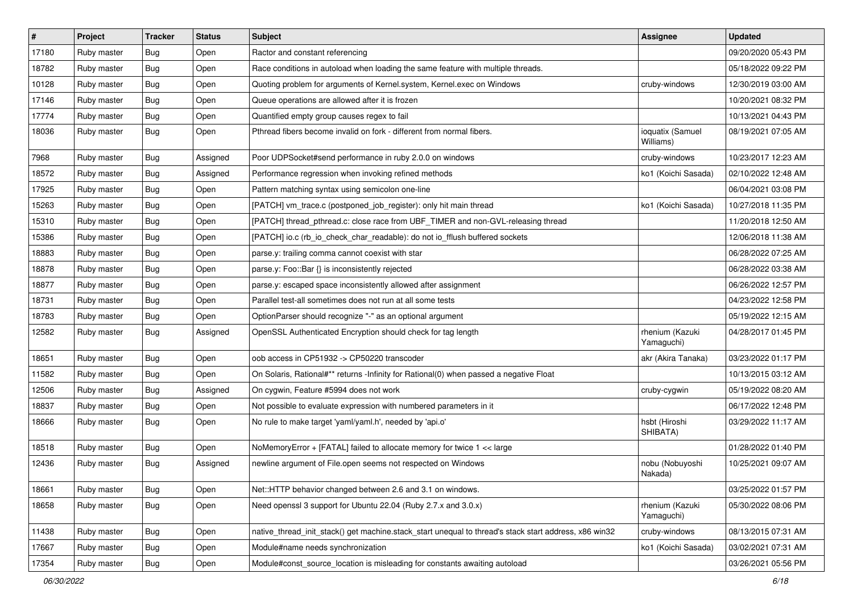| $\vert$ # | Project     | <b>Tracker</b> | <b>Status</b> | Subject                                                                                               | <b>Assignee</b>               | <b>Updated</b>      |
|-----------|-------------|----------------|---------------|-------------------------------------------------------------------------------------------------------|-------------------------------|---------------------|
| 17180     | Ruby master | Bug            | Open          | Ractor and constant referencing                                                                       |                               | 09/20/2020 05:43 PM |
| 18782     | Ruby master | Bug            | Open          | Race conditions in autoload when loading the same feature with multiple threads.                      |                               | 05/18/2022 09:22 PM |
| 10128     | Ruby master | Bug            | Open          | Quoting problem for arguments of Kernel.system, Kernel.exec on Windows                                | cruby-windows                 | 12/30/2019 03:00 AM |
| 17146     | Ruby master | <b>Bug</b>     | Open          | Queue operations are allowed after it is frozen                                                       |                               | 10/20/2021 08:32 PM |
| 17774     | Ruby master | Bug            | Open          | Quantified empty group causes regex to fail                                                           |                               | 10/13/2021 04:43 PM |
| 18036     | Ruby master | Bug            | Open          | Pthread fibers become invalid on fork - different from normal fibers.                                 | ioquatix (Samuel<br>Williams) | 08/19/2021 07:05 AM |
| 7968      | Ruby master | <b>Bug</b>     | Assigned      | Poor UDPSocket#send performance in ruby 2.0.0 on windows                                              | cruby-windows                 | 10/23/2017 12:23 AM |
| 18572     | Ruby master | Bug            | Assigned      | Performance regression when invoking refined methods                                                  | ko1 (Koichi Sasada)           | 02/10/2022 12:48 AM |
| 17925     | Ruby master | <b>Bug</b>     | Open          | Pattern matching syntax using semicolon one-line                                                      |                               | 06/04/2021 03:08 PM |
| 15263     | Ruby master | <b>Bug</b>     | Open          | [PATCH] vm_trace.c (postponed_job_register): only hit main thread                                     | ko1 (Koichi Sasada)           | 10/27/2018 11:35 PM |
| 15310     | Ruby master | <b>Bug</b>     | Open          | [PATCH] thread_pthread.c: close race from UBF_TIMER and non-GVL-releasing thread                      |                               | 11/20/2018 12:50 AM |
| 15386     | Ruby master | <b>Bug</b>     | Open          | [PATCH] io.c (rb_io_check_char_readable): do not io_fflush buffered sockets                           |                               | 12/06/2018 11:38 AM |
| 18883     | Ruby master | <b>Bug</b>     | Open          | parse.y: trailing comma cannot coexist with star                                                      |                               | 06/28/2022 07:25 AM |
| 18878     | Ruby master | <b>Bug</b>     | Open          | parse.y: Foo::Bar {} is inconsistently rejected                                                       |                               | 06/28/2022 03:38 AM |
| 18877     | Ruby master | <b>Bug</b>     | Open          | parse.y: escaped space inconsistently allowed after assignment                                        |                               | 06/26/2022 12:57 PM |
| 18731     | Ruby master | <b>Bug</b>     | Open          | Parallel test-all sometimes does not run at all some tests                                            |                               | 04/23/2022 12:58 PM |
| 18783     | Ruby master | <b>Bug</b>     | Open          | OptionParser should recognize "-" as an optional argument                                             |                               | 05/19/2022 12:15 AM |
| 12582     | Ruby master | <b>Bug</b>     | Assigned      | OpenSSL Authenticated Encryption should check for tag length                                          | rhenium (Kazuki<br>Yamaguchi) | 04/28/2017 01:45 PM |
| 18651     | Ruby master | <b>Bug</b>     | Open          | oob access in CP51932 -> CP50220 transcoder                                                           | akr (Akira Tanaka)            | 03/23/2022 01:17 PM |
| 11582     | Ruby master | Bug            | Open          | On Solaris, Rational#** returns -Infinity for Rational(0) when passed a negative Float                |                               | 10/13/2015 03:12 AM |
| 12506     | Ruby master | <b>Bug</b>     | Assigned      | On cygwin, Feature #5994 does not work                                                                | cruby-cygwin                  | 05/19/2022 08:20 AM |
| 18837     | Ruby master | <b>Bug</b>     | Open          | Not possible to evaluate expression with numbered parameters in it                                    |                               | 06/17/2022 12:48 PM |
| 18666     | Ruby master | <b>Bug</b>     | Open          | No rule to make target 'yaml/yaml.h', needed by 'api.o'                                               | hsbt (Hiroshi<br>SHIBATA)     | 03/29/2022 11:17 AM |
| 18518     | Ruby master | <b>Bug</b>     | Open          | NoMemoryError + [FATAL] failed to allocate memory for twice 1 << large                                |                               | 01/28/2022 01:40 PM |
| 12436     | Ruby master | <b>Bug</b>     | Assigned      | newline argument of File.open seems not respected on Windows                                          | nobu (Nobuyoshi<br>Nakada)    | 10/25/2021 09:07 AM |
| 18661     | Ruby master | i Bug          | Open          | Net::HTTP behavior changed between 2.6 and 3.1 on windows.                                            |                               | 03/25/2022 01:57 PM |
| 18658     | Ruby master | <b>Bug</b>     | Open          | Need openssl 3 support for Ubuntu 22.04 (Ruby 2.7.x and 3.0.x)                                        | rhenium (Kazuki<br>Yamaguchi) | 05/30/2022 08:06 PM |
| 11438     | Ruby master | Bug            | Open          | native_thread_init_stack() get machine.stack_start unequal to thread's stack start address, x86 win32 | cruby-windows                 | 08/13/2015 07:31 AM |
| 17667     | Ruby master | <b>Bug</b>     | Open          | Module#name needs synchronization                                                                     | ko1 (Koichi Sasada)           | 03/02/2021 07:31 AM |
| 17354     | Ruby master | <b>Bug</b>     | Open          | Module#const source location is misleading for constants awaiting autoload                            |                               | 03/26/2021 05:56 PM |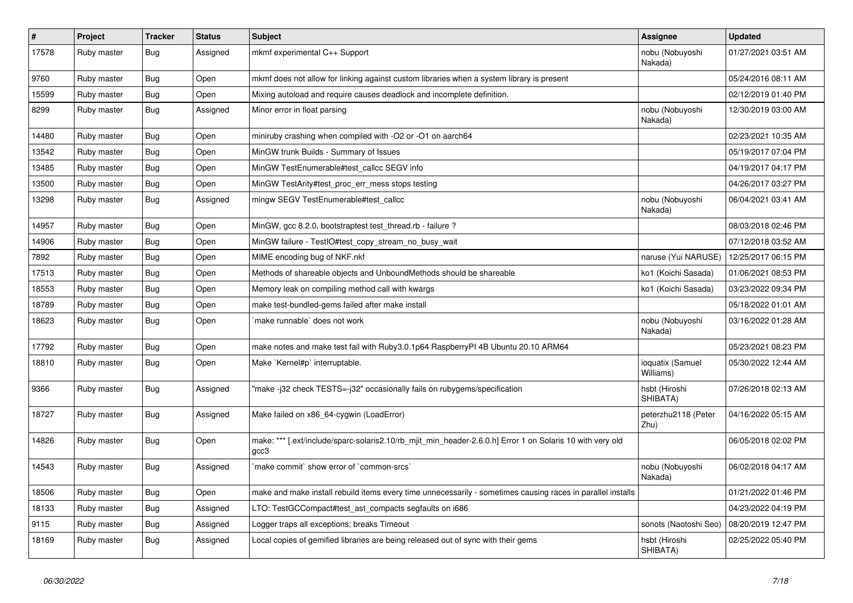| $\sharp$ | Project     | <b>Tracker</b> | <b>Status</b> | Subject                                                                                                           | Assignee                      | <b>Updated</b>      |
|----------|-------------|----------------|---------------|-------------------------------------------------------------------------------------------------------------------|-------------------------------|---------------------|
| 17578    | Ruby master | <b>Bug</b>     | Assigned      | mkmf experimental C++ Support                                                                                     | nobu (Nobuyoshi<br>Nakada)    | 01/27/2021 03:51 AM |
| 9760     | Ruby master | <b>Bug</b>     | Open          | mkmf does not allow for linking against custom libraries when a system library is present                         |                               | 05/24/2016 08:11 AM |
| 15599    | Ruby master | <b>Bug</b>     | Open          | Mixing autoload and require causes deadlock and incomplete definition.                                            |                               | 02/12/2019 01:40 PM |
| 8299     | Ruby master | <b>Bug</b>     | Assigned      | Minor error in float parsing                                                                                      | nobu (Nobuyoshi<br>Nakada)    | 12/30/2019 03:00 AM |
| 14480    | Ruby master | <b>Bug</b>     | Open          | miniruby crashing when compiled with -O2 or -O1 on aarch64                                                        |                               | 02/23/2021 10:35 AM |
| 13542    | Ruby master | <b>Bug</b>     | Open          | MinGW trunk Builds - Summary of Issues                                                                            |                               | 05/19/2017 07:04 PM |
| 13485    | Ruby master | <b>Bug</b>     | Open          | MinGW TestEnumerable#test callcc SEGV info                                                                        |                               | 04/19/2017 04:17 PM |
| 13500    | Ruby master | <b>Bug</b>     | Open          | MinGW TestArity#test_proc_err_mess stops testing                                                                  |                               | 04/26/2017 03:27 PM |
| 13298    | Ruby master | <b>Bug</b>     | Assigned      | mingw SEGV TestEnumerable#test_callcc                                                                             | nobu (Nobuyoshi<br>Nakada)    | 06/04/2021 03:41 AM |
| 14957    | Ruby master | <b>Bug</b>     | Open          | MinGW, gcc 8.2.0, bootstraptest test_thread.rb - failure ?                                                        |                               | 08/03/2018 02:46 PM |
| 14906    | Ruby master | <b>Bug</b>     | Open          | MinGW failure - TestIO#test_copy_stream_no_busy_wait                                                              |                               | 07/12/2018 03:52 AM |
| 7892     | Ruby master | <b>Bug</b>     | Open          | MIME encoding bug of NKF.nkf                                                                                      | naruse (Yui NARUSE)           | 12/25/2017 06:15 PM |
| 17513    | Ruby master | <b>Bug</b>     | Open          | Methods of shareable objects and UnboundMethods should be shareable                                               | ko1 (Koichi Sasada)           | 01/06/2021 08:53 PM |
| 18553    | Ruby master | <b>Bug</b>     | Open          | Memory leak on compiling method call with kwargs                                                                  | ko1 (Koichi Sasada)           | 03/23/2022 09:34 PM |
| 18789    | Ruby master | <b>Bug</b>     | Open          | make test-bundled-gems failed after make install                                                                  |                               | 05/18/2022 01:01 AM |
| 18623    | Ruby master | <b>Bug</b>     | Open          | make runnable' does not work                                                                                      | nobu (Nobuyoshi<br>Nakada)    | 03/16/2022 01:28 AM |
| 17792    | Ruby master | <b>Bug</b>     | Open          | make notes and make test fail with Ruby3.0.1p64 RaspberryPI 4B Ubuntu 20.10 ARM64                                 |                               | 05/23/2021 08:23 PM |
| 18810    | Ruby master | <b>Bug</b>     | Open          | Make `Kernel#p` interruptable.                                                                                    | ioquatix (Samuel<br>Williams) | 05/30/2022 12:44 AM |
| 9366     | Ruby master | <b>Bug</b>     | Assigned      | "make-j32 check TESTS=-j32" occasionally fails on rubygems/specification                                          | hsbt (Hiroshi<br>SHIBATA)     | 07/26/2018 02:13 AM |
| 18727    | Ruby master | <b>Bug</b>     | Assigned      | Make failed on x86_64-cygwin (LoadError)                                                                          | peterzhu2118 (Peter<br>Zhu)   | 04/16/2022 05:15 AM |
| 14826    | Ruby master | <b>Bug</b>     | Open          | make: *** [.ext/include/sparc-solaris2.10/rb_mjit_min_header-2.6.0.h] Error 1 on Solaris 10 with very old<br>gcc3 |                               | 06/05/2018 02:02 PM |
| 14543    | Ruby master | <b>Bug</b>     | Assigned      | 'make commit' show error of 'common-srcs'                                                                         | nobu (Nobuyoshi<br>Nakada)    | 06/02/2018 04:17 AM |
| 18506    | Ruby master | <b>Bug</b>     | Open          | make and make install rebuild items every time unnecessarily - sometimes causing races in parallel installs       |                               | 01/21/2022 01:46 PM |
| 18133    | Ruby master | <b>Bug</b>     | Assigned      | LTO: TestGCCompact#test_ast_compacts segfaults on i686                                                            |                               | 04/23/2022 04:19 PM |
| 9115     | Ruby master | <b>Bug</b>     | Assigned      | Logger traps all exceptions; breaks Timeout                                                                       | sonots (Naotoshi Seo)         | 08/20/2019 12:47 PM |
| 18169    | Ruby master | <b>Bug</b>     | Assigned      | Local copies of gemified libraries are being released out of sync with their gems                                 | hsbt (Hiroshi<br>SHIBATA)     | 02/25/2022 05:40 PM |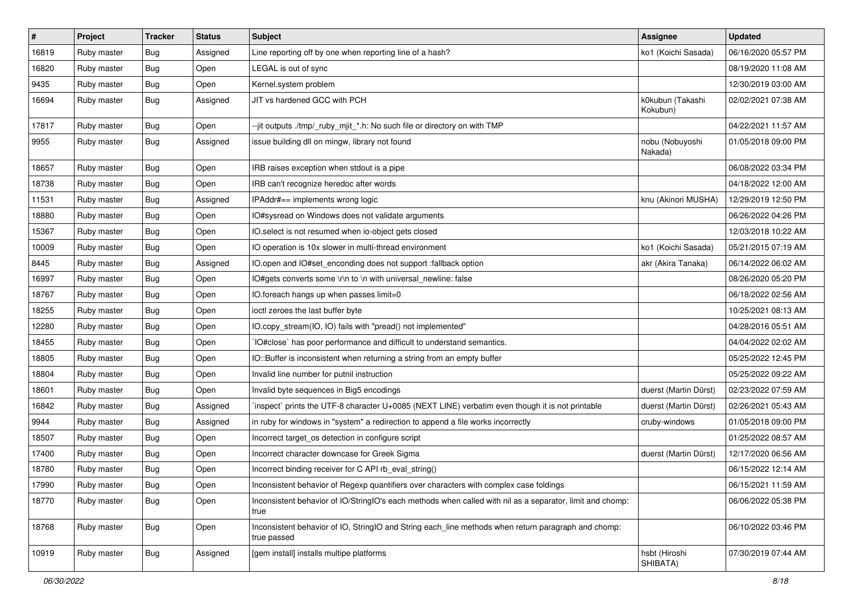| $\sharp$ | Project     | <b>Tracker</b> | <b>Status</b> | Subject                                                                                                            | Assignee                     | <b>Updated</b>      |
|----------|-------------|----------------|---------------|--------------------------------------------------------------------------------------------------------------------|------------------------------|---------------------|
| 16819    | Ruby master | <b>Bug</b>     | Assigned      | Line reporting off by one when reporting line of a hash?                                                           | ko1 (Koichi Sasada)          | 06/16/2020 05:57 PM |
| 16820    | Ruby master | <b>Bug</b>     | Open          | LEGAL is out of sync                                                                                               |                              | 08/19/2020 11:08 AM |
| 9435     | Ruby master | <b>Bug</b>     | Open          | Kernel.system problem                                                                                              |                              | 12/30/2019 03:00 AM |
| 16694    | Ruby master | Bug            | Assigned      | JIT vs hardened GCC with PCH                                                                                       | k0kubun (Takashi<br>Kokubun) | 02/02/2021 07:38 AM |
| 17817    | Ruby master | <b>Bug</b>     | Open          | --jit outputs ./tmp/_ruby_mjit_*.h: No such file or directory on with TMP                                          |                              | 04/22/2021 11:57 AM |
| 9955     | Ruby master | <b>Bug</b>     | Assigned      | issue building dll on mingw, library not found                                                                     | nobu (Nobuyoshi<br>Nakada)   | 01/05/2018 09:00 PM |
| 18657    | Ruby master | <b>Bug</b>     | Open          | IRB raises exception when stdout is a pipe                                                                         |                              | 06/08/2022 03:34 PM |
| 18738    | Ruby master | <b>Bug</b>     | Open          | IRB can't recognize heredoc after words                                                                            |                              | 04/18/2022 12:00 AM |
| 11531    | Ruby master | <b>Bug</b>     | Assigned      | IPAddr#== implements wrong logic                                                                                   | knu (Akinori MUSHA)          | 12/29/2019 12:50 PM |
| 18880    | Ruby master | <b>Bug</b>     | Open          | IO#sysread on Windows does not validate arguments                                                                  |                              | 06/26/2022 04:26 PM |
| 15367    | Ruby master | <b>Bug</b>     | Open          | IO.select is not resumed when io-object gets closed                                                                |                              | 12/03/2018 10:22 AM |
| 10009    | Ruby master | Bug            | Open          | IO operation is 10x slower in multi-thread environment                                                             | ko1 (Koichi Sasada)          | 05/21/2015 07:19 AM |
| 8445     | Ruby master | <b>Bug</b>     | Assigned      | IO.open and IO#set_enconding does not support :fallback option                                                     | akr (Akira Tanaka)           | 06/14/2022 06:02 AM |
| 16997    | Ruby master | <b>Bug</b>     | Open          | IO#gets converts some \r\n to \n with universal newline: false                                                     |                              | 08/26/2020 05:20 PM |
| 18767    | Ruby master | <b>Bug</b>     | Open          | IO.foreach hangs up when passes limit=0                                                                            |                              | 06/18/2022 02:56 AM |
| 18255    | Ruby master | <b>Bug</b>     | Open          | ioctl zeroes the last buffer byte                                                                                  |                              | 10/25/2021 08:13 AM |
| 12280    | Ruby master | <b>Bug</b>     | Open          | IO.copy_stream(IO, IO) fails with "pread() not implemented"                                                        |                              | 04/28/2016 05:51 AM |
| 18455    | Ruby master | <b>Bug</b>     | Open          | IO#close` has poor performance and difficult to understand semantics.                                              |                              | 04/04/2022 02:02 AM |
| 18805    | Ruby master | <b>Bug</b>     | Open          | IO::Buffer is inconsistent when returning a string from an empty buffer                                            |                              | 05/25/2022 12:45 PM |
| 18804    | Ruby master | Bug            | Open          | Invalid line number for putnil instruction                                                                         |                              | 05/25/2022 09:22 AM |
| 18601    | Ruby master | <b>Bug</b>     | Open          | Invalid byte sequences in Big5 encodings                                                                           | duerst (Martin Dürst)        | 02/23/2022 07:59 AM |
| 16842    | Ruby master | Bug            | Assigned      | inspect` prints the UTF-8 character U+0085 (NEXT LINE) verbatim even though it is not printable                    | duerst (Martin Dürst)        | 02/26/2021 05:43 AM |
| 9944     | Ruby master | <b>Bug</b>     | Assigned      | in ruby for windows in "system" a redirection to append a file works incorrectly                                   | cruby-windows                | 01/05/2018 09:00 PM |
| 18507    | Ruby master | <b>Bug</b>     | Open          | Incorrect target_os detection in configure script                                                                  |                              | 01/25/2022 08:57 AM |
| 17400    | Ruby master | Bug            | Open          | Incorrect character downcase for Greek Sigma                                                                       | duerst (Martin Dürst)        | 12/17/2020 06:56 AM |
| 18780    | Ruby master | Bug            | Open          | Incorrect binding receiver for C API rb_eval_string()                                                              |                              | 06/15/2022 12:14 AM |
| 17990    | Ruby master | <b>Bug</b>     | Open          | Inconsistent behavior of Regexp quantifiers over characters with complex case foldings                             |                              | 06/15/2021 11:59 AM |
| 18770    | Ruby master | <b>Bug</b>     | Open          | Inconsistent behavior of IO/StringIO's each methods when called with nil as a separator, limit and chomp:<br>true  |                              | 06/06/2022 05:38 PM |
| 18768    | Ruby master | <b>Bug</b>     | Open          | Inconsistent behavior of IO, StringIO and String each_line methods when return paragraph and chomp:<br>true passed |                              | 06/10/2022 03:46 PM |
| 10919    | Ruby master | <b>Bug</b>     | Assigned      | [gem install] installs multipe platforms                                                                           | hsbt (Hiroshi<br>SHIBATA)    | 07/30/2019 07:44 AM |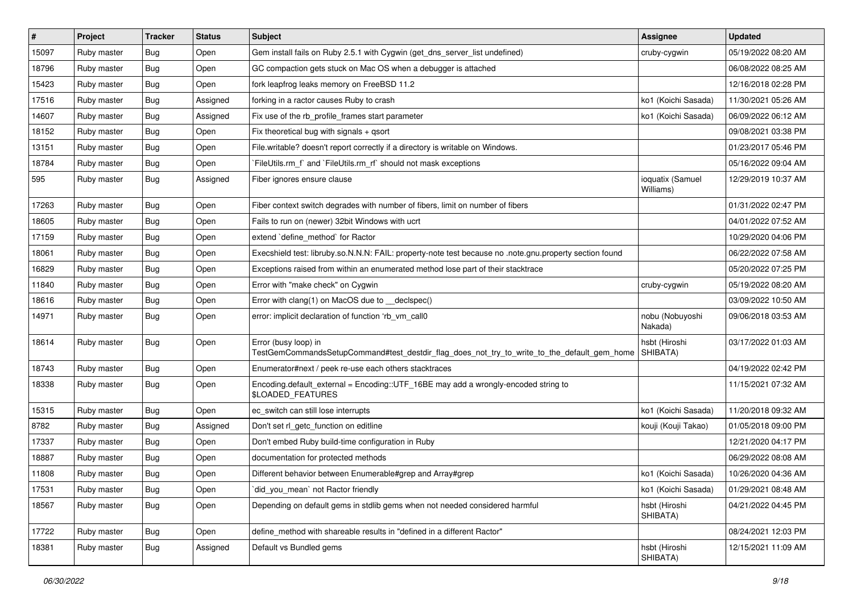| $\vert$ # | Project     | <b>Tracker</b> | <b>Status</b> | Subject                                                                                                             | Assignee                      | <b>Updated</b>      |
|-----------|-------------|----------------|---------------|---------------------------------------------------------------------------------------------------------------------|-------------------------------|---------------------|
| 15097     | Ruby master | <b>Bug</b>     | Open          | Gem install fails on Ruby 2.5.1 with Cygwin (get dns server list undefined)                                         | cruby-cygwin                  | 05/19/2022 08:20 AM |
| 18796     | Ruby master | <b>Bug</b>     | Open          | GC compaction gets stuck on Mac OS when a debugger is attached                                                      |                               | 06/08/2022 08:25 AM |
| 15423     | Ruby master | <b>Bug</b>     | Open          | fork leapfrog leaks memory on FreeBSD 11.2                                                                          |                               | 12/16/2018 02:28 PM |
| 17516     | Ruby master | <b>Bug</b>     | Assigned      | forking in a ractor causes Ruby to crash                                                                            | ko1 (Koichi Sasada)           | 11/30/2021 05:26 AM |
| 14607     | Ruby master | Bug            | Assigned      | Fix use of the rb_profile_frames start parameter                                                                    | ko1 (Koichi Sasada)           | 06/09/2022 06:12 AM |
| 18152     | Ruby master | Bug            | Open          | Fix theoretical bug with signals + qsort                                                                            |                               | 09/08/2021 03:38 PM |
| 13151     | Ruby master | <b>Bug</b>     | Open          | File.writable? doesn't report correctly if a directory is writable on Windows.                                      |                               | 01/23/2017 05:46 PM |
| 18784     | Ruby master | <b>Bug</b>     | Open          | `FileUtils.rm_f` and `FileUtils.rm_rf` should not mask exceptions                                                   |                               | 05/16/2022 09:04 AM |
| 595       | Ruby master | <b>Bug</b>     | Assigned      | Fiber ignores ensure clause                                                                                         | ioquatix (Samuel<br>Williams) | 12/29/2019 10:37 AM |
| 17263     | Ruby master | <b>Bug</b>     | Open          | Fiber context switch degrades with number of fibers, limit on number of fibers                                      |                               | 01/31/2022 02:47 PM |
| 18605     | Ruby master | <b>Bug</b>     | Open          | Fails to run on (newer) 32bit Windows with ucrt                                                                     |                               | 04/01/2022 07:52 AM |
| 17159     | Ruby master | <b>Bug</b>     | Open          | extend `define method` for Ractor                                                                                   |                               | 10/29/2020 04:06 PM |
| 18061     | Ruby master | <b>Bug</b>     | Open          | Execshield test: libruby.so.N.N.N: FAIL: property-note test because no .note.gnu.property section found             |                               | 06/22/2022 07:58 AM |
| 16829     | Ruby master | <b>Bug</b>     | Open          | Exceptions raised from within an enumerated method lose part of their stacktrace                                    |                               | 05/20/2022 07:25 PM |
| 11840     | Ruby master | <b>Bug</b>     | Open          | Error with "make check" on Cygwin                                                                                   | cruby-cygwin                  | 05/19/2022 08:20 AM |
| 18616     | Ruby master | <b>Bug</b>     | Open          | Error with clang(1) on MacOS due to __declspec()                                                                    |                               | 03/09/2022 10:50 AM |
| 14971     | Ruby master | <b>Bug</b>     | Open          | error: implicit declaration of function 'rb vm call0                                                                | nobu (Nobuyoshi<br>Nakada)    | 09/06/2018 03:53 AM |
| 18614     | Ruby master | Bug            | Open          | Error (busy loop) in<br>TestGemCommandsSetupCommand#test_destdir_flag_does_not_try_to_write_to_the_default_gem_home | hsbt (Hiroshi<br>SHIBATA)     | 03/17/2022 01:03 AM |
| 18743     | Ruby master | <b>Bug</b>     | Open          | Enumerator#next / peek re-use each others stacktraces                                                               |                               | 04/19/2022 02:42 PM |
| 18338     | Ruby master | <b>Bug</b>     | Open          | Encoding.default_external = Encoding::UTF_16BE may add a wrongly-encoded string to<br>\$LOADED_FEATURES             |                               | 11/15/2021 07:32 AM |
| 15315     | Ruby master | <b>Bug</b>     | Open          | ec_switch can still lose interrupts                                                                                 | ko1 (Koichi Sasada)           | 11/20/2018 09:32 AM |
| 8782      | Ruby master | <b>Bug</b>     | Assigned      | Don't set rl_getc_function on editline                                                                              | kouji (Kouji Takao)           | 01/05/2018 09:00 PM |
| 17337     | Ruby master | Bug            | Open          | Don't embed Ruby build-time configuration in Ruby                                                                   |                               | 12/21/2020 04:17 PM |
| 18887     | Ruby master | Bug            | Open          | documentation for protected methods                                                                                 |                               | 06/29/2022 08:08 AM |
| 11808     | Ruby master | <b>Bug</b>     | Open          | Different behavior between Enumerable#grep and Array#grep                                                           | ko1 (Koichi Sasada)           | 10/26/2020 04:36 AM |
| 17531     | Ruby master | <b>Bug</b>     | Open          | did you mean' not Ractor friendly                                                                                   | ko1 (Koichi Sasada)           | 01/29/2021 08:48 AM |
| 18567     | Ruby master | <b>Bug</b>     | Open          | Depending on default gems in stdlib gems when not needed considered harmful                                         | hsbt (Hiroshi<br>SHIBATA)     | 04/21/2022 04:45 PM |
| 17722     | Ruby master | <b>Bug</b>     | Open          | define_method with shareable results in "defined in a different Ractor"                                             |                               | 08/24/2021 12:03 PM |
| 18381     | Ruby master | <b>Bug</b>     | Assigned      | Default vs Bundled gems                                                                                             | hsbt (Hiroshi<br>SHIBATA)     | 12/15/2021 11:09 AM |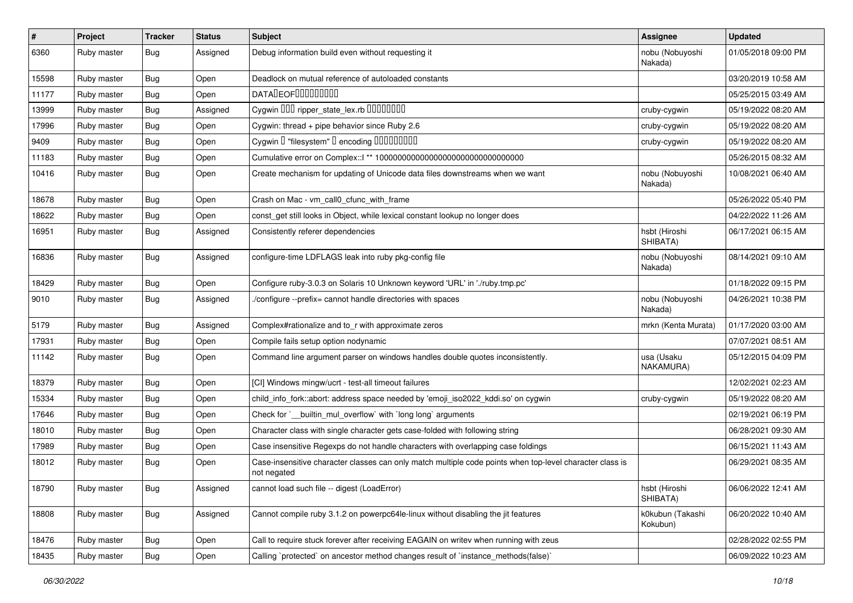| #     | Project     | <b>Tracker</b> | <b>Status</b> | Subject                                                                                                                 | <b>Assignee</b>              | <b>Updated</b>      |
|-------|-------------|----------------|---------------|-------------------------------------------------------------------------------------------------------------------------|------------------------------|---------------------|
| 6360  | Ruby master | <b>Bug</b>     | Assigned      | Debug information build even without requesting it                                                                      | nobu (Nobuyoshi<br>Nakada)   | 01/05/2018 09:00 PM |
| 15598 | Ruby master | Bug            | Open          | Deadlock on mutual reference of autoloaded constants                                                                    |                              | 03/20/2019 10:58 AM |
| 11177 | Ruby master | <b>Bug</b>     | Open          | <b>DATALEOFILILILILILI</b>                                                                                              |                              | 05/25/2015 03:49 AM |
| 13999 | Ruby master | <b>Bug</b>     | Assigned      | Cygwin 000 ripper_state_lex.rb 00000000                                                                                 | cruby-cygwin                 | 05/19/2022 08:20 AM |
| 17996 | Ruby master | <b>Bug</b>     | Open          | Cygwin: thread + pipe behavior since Ruby 2.6                                                                           | cruby-cygwin                 | 05/19/2022 08:20 AM |
| 9409  | Ruby master | <b>Bug</b>     | Open          | Cygwin I "filesystem" I encoding IIIIIIIIIIIII                                                                          | cruby-cygwin                 | 05/19/2022 08:20 AM |
| 11183 | Ruby master | <b>Bug</b>     | Open          |                                                                                                                         |                              | 05/26/2015 08:32 AM |
| 10416 | Ruby master | <b>Bug</b>     | Open          | Create mechanism for updating of Unicode data files downstreams when we want                                            | nobu (Nobuyoshi<br>Nakada)   | 10/08/2021 06:40 AM |
| 18678 | Ruby master | Bug            | Open          | Crash on Mac - vm_call0_cfunc_with_frame                                                                                |                              | 05/26/2022 05:40 PM |
| 18622 | Ruby master | <b>Bug</b>     | Open          | const_get still looks in Object, while lexical constant lookup no longer does                                           |                              | 04/22/2022 11:26 AM |
| 16951 | Ruby master | Bug            | Assigned      | Consistently referer dependencies                                                                                       | hsbt (Hiroshi<br>SHIBATA)    | 06/17/2021 06:15 AM |
| 16836 | Ruby master | <b>Bug</b>     | Assigned      | configure-time LDFLAGS leak into ruby pkg-config file                                                                   | nobu (Nobuyoshi<br>Nakada)   | 08/14/2021 09:10 AM |
| 18429 | Ruby master | <b>Bug</b>     | Open          | Configure ruby-3.0.3 on Solaris 10 Unknown keyword 'URL' in './ruby.tmp.pc'                                             |                              | 01/18/2022 09:15 PM |
| 9010  | Ruby master | Bug            | Assigned      | /configure --prefix= cannot handle directories with spaces                                                              | nobu (Nobuyoshi<br>Nakada)   | 04/26/2021 10:38 PM |
| 5179  | Ruby master | <b>Bug</b>     | Assigned      | Complex#rationalize and to_r with approximate zeros                                                                     | mrkn (Kenta Murata)          | 01/17/2020 03:00 AM |
| 17931 | Ruby master | <b>Bug</b>     | Open          | Compile fails setup option nodynamic                                                                                    |                              | 07/07/2021 08:51 AM |
| 11142 | Ruby master | Bug            | Open          | Command line argument parser on windows handles double quotes inconsistently.                                           | usa (Usaku<br>NAKAMURA)      | 05/12/2015 04:09 PM |
| 18379 | Ruby master | <b>Bug</b>     | Open          | [CI] Windows mingw/ucrt - test-all timeout failures                                                                     |                              | 12/02/2021 02:23 AM |
| 15334 | Ruby master | <b>Bug</b>     | Open          | child_info_fork::abort: address space needed by 'emoji_iso2022_kddi.so' on cygwin                                       | cruby-cygwin                 | 05/19/2022 08:20 AM |
| 17646 | Ruby master | Bug            | Open          | Check for `__builtin_mul_overflow` with `long long` arguments                                                           |                              | 02/19/2021 06:19 PM |
| 18010 | Ruby master | <b>Bug</b>     | Open          | Character class with single character gets case-folded with following string                                            |                              | 06/28/2021 09:30 AM |
| 17989 | Ruby master | <b>Bug</b>     | Open          | Case insensitive Regexps do not handle characters with overlapping case foldings                                        |                              | 06/15/2021 11:43 AM |
| 18012 | Ruby master | <b>Bug</b>     | Open          | Case-insensitive character classes can only match multiple code points when top-level character class is<br>not negated |                              | 06/29/2021 08:35 AM |
| 18790 | Ruby master | Bug            | Assigned      | cannot load such file -- digest (LoadError)                                                                             | hsbt (Hiroshi<br>SHIBATA)    | 06/06/2022 12:41 AM |
| 18808 | Ruby master | Bug            | Assigned      | Cannot compile ruby 3.1.2 on powerpc64le-linux without disabling the jit features                                       | k0kubun (Takashi<br>Kokubun) | 06/20/2022 10:40 AM |
| 18476 | Ruby master | <b>Bug</b>     | Open          | Call to require stuck forever after receiving EAGAIN on writev when running with zeus                                   |                              | 02/28/2022 02:55 PM |
| 18435 | Ruby master | Bug            | Open          | Calling `protected` on ancestor method changes result of `instance_methods(false)`                                      |                              | 06/09/2022 10:23 AM |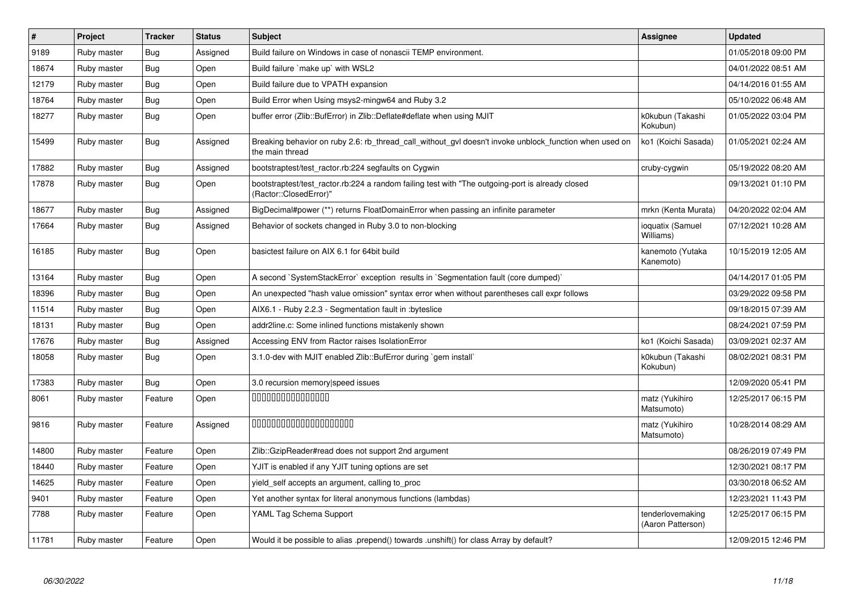| $\#$  | Project     | <b>Tracker</b> | <b>Status</b> | <b>Subject</b>                                                                                                             | <b>Assignee</b>                       | <b>Updated</b>      |
|-------|-------------|----------------|---------------|----------------------------------------------------------------------------------------------------------------------------|---------------------------------------|---------------------|
| 9189  | Ruby master | <b>Bug</b>     | Assigned      | Build failure on Windows in case of nonascii TEMP environment.                                                             |                                       | 01/05/2018 09:00 PM |
| 18674 | Ruby master | <b>Bug</b>     | Open          | Build failure `make up` with WSL2                                                                                          |                                       | 04/01/2022 08:51 AM |
| 12179 | Ruby master | <b>Bug</b>     | Open          | Build failure due to VPATH expansion                                                                                       |                                       | 04/14/2016 01:55 AM |
| 18764 | Ruby master | Bug            | Open          | Build Error when Using msys2-mingw64 and Ruby 3.2                                                                          |                                       | 05/10/2022 06:48 AM |
| 18277 | Ruby master | <b>Bug</b>     | Open          | buffer error (Zlib::BufError) in Zlib::Deflate#deflate when using MJIT                                                     | k0kubun (Takashi<br>Kokubun)          | 01/05/2022 03:04 PM |
| 15499 | Ruby master | <b>Bug</b>     | Assigned      | Breaking behavior on ruby 2.6: rb_thread_call_without_gvl doesn't invoke unblock_function when used on<br>the main thread  | ko1 (Koichi Sasada)                   | 01/05/2021 02:24 AM |
| 17882 | Ruby master | <b>Bug</b>     | Assigned      | bootstraptest/test_ractor.rb:224 segfaults on Cygwin                                                                       | cruby-cygwin                          | 05/19/2022 08:20 AM |
| 17878 | Ruby master | <b>Bug</b>     | Open          | bootstraptest/test_ractor.rb:224 a random failing test with "The outgoing-port is already closed<br>(Ractor::ClosedError)' |                                       | 09/13/2021 01:10 PM |
| 18677 | Ruby master | <b>Bug</b>     | Assigned      | BigDecimal#power (**) returns FloatDomainError when passing an infinite parameter                                          | mrkn (Kenta Murata)                   | 04/20/2022 02:04 AM |
| 17664 | Ruby master | Bug            | Assigned      | Behavior of sockets changed in Ruby 3.0 to non-blocking                                                                    | ioquatix (Samuel<br>Williams)         | 07/12/2021 10:28 AM |
| 16185 | Ruby master | <b>Bug</b>     | Open          | basictest failure on AIX 6.1 for 64bit build                                                                               | kanemoto (Yutaka<br>Kanemoto)         | 10/15/2019 12:05 AM |
| 13164 | Ruby master | <b>Bug</b>     | Open          | A second `SystemStackError` exception results in `Segmentation fault (core dumped)`                                        |                                       | 04/14/2017 01:05 PM |
| 18396 | Ruby master | <b>Bug</b>     | Open          | An unexpected "hash value omission" syntax error when without parentheses call expr follows                                |                                       | 03/29/2022 09:58 PM |
| 11514 | Ruby master | Bug            | Open          | AIX6.1 - Ruby 2.2.3 - Segmentation fault in : byteslice                                                                    |                                       | 09/18/2015 07:39 AM |
| 18131 | Ruby master | <b>Bug</b>     | Open          | addr2line.c: Some inlined functions mistakenly shown                                                                       |                                       | 08/24/2021 07:59 PM |
| 17676 | Ruby master | Bug            | Assigned      | Accessing ENV from Ractor raises IsolationError                                                                            | ko1 (Koichi Sasada)                   | 03/09/2021 02:37 AM |
| 18058 | Ruby master | <b>Bug</b>     | Open          | 3.1.0-dev with MJIT enabled Zlib::BufError during `gem install`                                                            | k0kubun (Takashi<br>Kokubun)          | 08/02/2021 08:31 PM |
| 17383 | Ruby master | Bug            | Open          | 3.0 recursion memory speed issues                                                                                          |                                       | 12/09/2020 05:41 PM |
| 8061  | Ruby master | Feature        | Open          | 000000000000000                                                                                                            | matz (Yukihiro<br>Matsumoto)          | 12/25/2017 06:15 PM |
| 9816  | Ruby master | Feature        | Assigned      | 00000000000000000000                                                                                                       | matz (Yukihiro<br>Matsumoto)          | 10/28/2014 08:29 AM |
| 14800 | Ruby master | Feature        | Open          | Zlib::GzipReader#read does not support 2nd argument                                                                        |                                       | 08/26/2019 07:49 PM |
| 18440 | Ruby master | Feature        | Open          | YJIT is enabled if any YJIT tuning options are set                                                                         |                                       | 12/30/2021 08:17 PM |
| 14625 | Ruby master | Feature        | Open          | yield_self accepts an argument, calling to_proc                                                                            |                                       | 03/30/2018 06:52 AM |
| 9401  | Ruby master | Feature        | Open          | Yet another syntax for literal anonymous functions (lambdas)                                                               |                                       | 12/23/2021 11:43 PM |
| 7788  | Ruby master | Feature        | Open          | YAML Tag Schema Support                                                                                                    | tenderlovemaking<br>(Aaron Patterson) | 12/25/2017 06:15 PM |
| 11781 | Ruby master | Feature        | Open          | Would it be possible to alias .prepend() towards .unshift() for class Array by default?                                    |                                       | 12/09/2015 12:46 PM |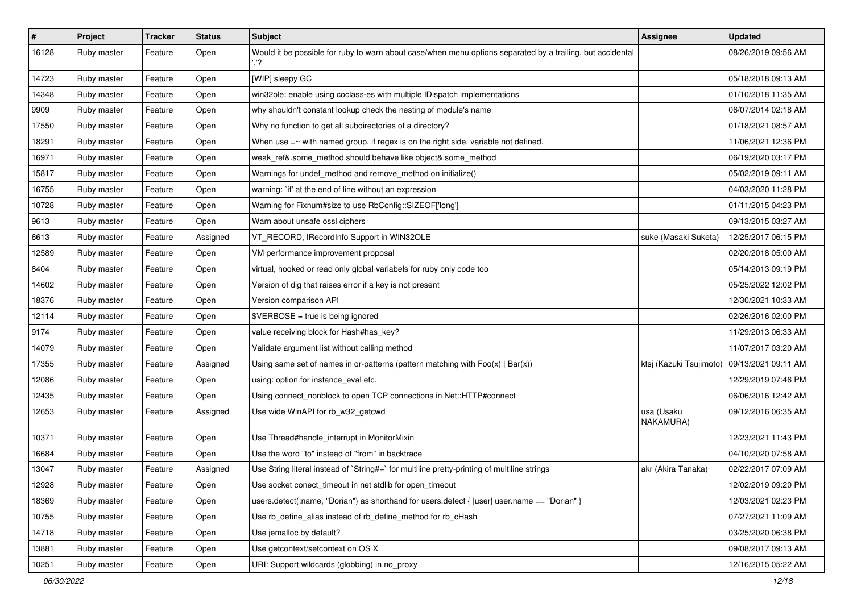| $\pmb{\#}$ | Project     | <b>Tracker</b> | <b>Status</b> | Subject                                                                                                    | <b>Assignee</b>         | <b>Updated</b>      |
|------------|-------------|----------------|---------------|------------------------------------------------------------------------------------------------------------|-------------------------|---------------------|
| 16128      | Ruby master | Feature        | Open          | Would it be possible for ruby to warn about case/when menu options separated by a trailing, but accidental |                         | 08/26/2019 09:56 AM |
| 14723      | Ruby master | Feature        | Open          | [WIP] sleepy GC                                                                                            |                         | 05/18/2018 09:13 AM |
| 14348      | Ruby master | Feature        | Open          | win32ole: enable using coclass-es with multiple IDispatch implementations                                  |                         | 01/10/2018 11:35 AM |
| 9909       | Ruby master | Feature        | Open          | why shouldn't constant lookup check the nesting of module's name                                           |                         | 06/07/2014 02:18 AM |
| 17550      | Ruby master | Feature        | Open          | Why no function to get all subdirectories of a directory?                                                  |                         | 01/18/2021 08:57 AM |
| 18291      | Ruby master | Feature        | Open          | When use $=\sim$ with named group, if regex is on the right side, variable not defined.                    |                         | 11/06/2021 12:36 PM |
| 16971      | Ruby master | Feature        | Open          | weak_ref&.some_method should behave like object&.some_method                                               |                         | 06/19/2020 03:17 PM |
| 15817      | Ruby master | Feature        | Open          | Warnings for undef method and remove method on initialize()                                                |                         | 05/02/2019 09:11 AM |
| 16755      | Ruby master | Feature        | Open          | warning: `if' at the end of line without an expression                                                     |                         | 04/03/2020 11:28 PM |
| 10728      | Ruby master | Feature        | Open          | Warning for Fixnum#size to use RbConfig::SIZEOF['long']                                                    |                         | 01/11/2015 04:23 PM |
| 9613       | Ruby master | Feature        | Open          | Warn about unsafe ossl ciphers                                                                             |                         | 09/13/2015 03:27 AM |
| 6613       | Ruby master | Feature        | Assigned      | VT_RECORD, IRecordInfo Support in WIN32OLE                                                                 | suke (Masaki Suketa)    | 12/25/2017 06:15 PM |
| 12589      | Ruby master | Feature        | Open          | VM performance improvement proposal                                                                        |                         | 02/20/2018 05:00 AM |
| 8404       | Ruby master | Feature        | Open          | virtual, hooked or read only global variabels for ruby only code too                                       |                         | 05/14/2013 09:19 PM |
| 14602      | Ruby master | Feature        | Open          | Version of dig that raises error if a key is not present                                                   |                         | 05/25/2022 12:02 PM |
| 18376      | Ruby master | Feature        | Open          | Version comparison API                                                                                     |                         | 12/30/2021 10:33 AM |
| 12114      | Ruby master | Feature        | Open          | \$VERBOSE = true is being ignored                                                                          |                         | 02/26/2016 02:00 PM |
| 9174       | Ruby master | Feature        | Open          | value receiving block for Hash#has_key?                                                                    |                         | 11/29/2013 06:33 AM |
| 14079      | Ruby master | Feature        | Open          | Validate argument list without calling method                                                              |                         | 11/07/2017 03:20 AM |
| 17355      | Ruby master | Feature        | Assigned      | Using same set of names in or-patterns (pattern matching with $Foo(x)   Bar(x)$ )                          | ktsj (Kazuki Tsujimoto) | 09/13/2021 09:11 AM |
| 12086      | Ruby master | Feature        | Open          | using: option for instance_eval etc.                                                                       |                         | 12/29/2019 07:46 PM |
| 12435      | Ruby master | Feature        | Open          | Using connect_nonblock to open TCP connections in Net::HTTP#connect                                        |                         | 06/06/2016 12:42 AM |
| 12653      | Ruby master | Feature        | Assigned      | Use wide WinAPI for rb_w32_getcwd                                                                          | usa (Usaku<br>NAKAMURA) | 09/12/2016 06:35 AM |
| 10371      | Ruby master | Feature        | Open          | Use Thread#handle_interrupt in MonitorMixin                                                                |                         | 12/23/2021 11:43 PM |
| 16684      | Ruby master | Feature        | Open          | Use the word "to" instead of "from" in backtrace                                                           |                         | 04/10/2020 07:58 AM |
| 13047      | Ruby master | Feature        | Assigned      | Use String literal instead of `String#+` for multiline pretty-printing of multiline strings                | akr (Akira Tanaka)      | 02/22/2017 07:09 AM |
| 12928      | Ruby master | Feature        | Open          | Use socket conect timeout in net stdlib for open timeout                                                   |                         | 12/02/2019 09:20 PM |
| 18369      | Ruby master | Feature        | Open          | users.detect(:name, "Dorian") as shorthand for users.detect {  user  user.name == "Dorian" }               |                         | 12/03/2021 02:23 PM |
| 10755      | Ruby master | Feature        | Open          | Use rb_define_alias instead of rb_define_method for rb_cHash                                               |                         | 07/27/2021 11:09 AM |
| 14718      | Ruby master | Feature        | Open          | Use jemalloc by default?                                                                                   |                         | 03/25/2020 06:38 PM |
| 13881      | Ruby master | Feature        | Open          | Use getcontext/setcontext on OS X                                                                          |                         | 09/08/2017 09:13 AM |
| 10251      | Ruby master | Feature        | Open          | URI: Support wildcards (globbing) in no_proxy                                                              |                         | 12/16/2015 05:22 AM |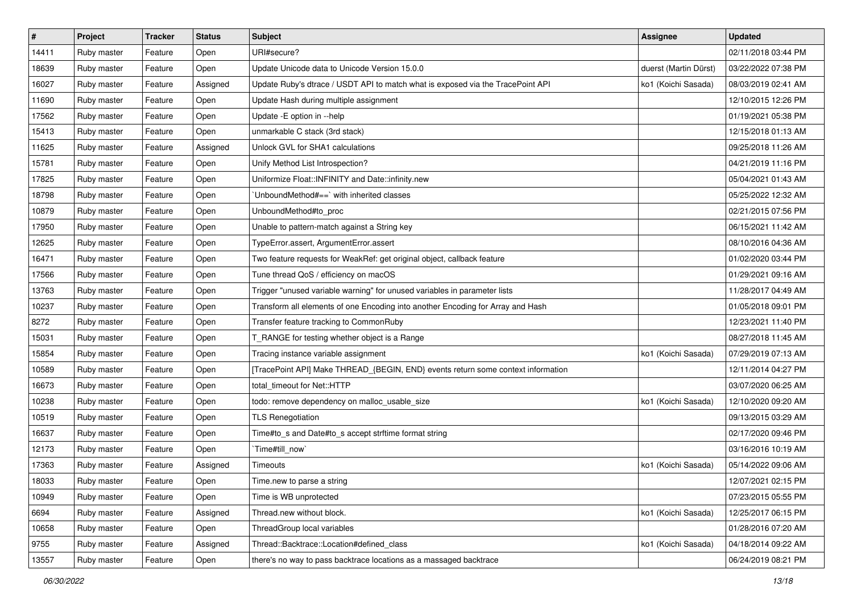| $\#$  | Project     | <b>Tracker</b> | <b>Status</b> | Subject                                                                          | <b>Assignee</b>       | <b>Updated</b>      |
|-------|-------------|----------------|---------------|----------------------------------------------------------------------------------|-----------------------|---------------------|
| 14411 | Ruby master | Feature        | Open          | URI#secure?                                                                      |                       | 02/11/2018 03:44 PM |
| 18639 | Ruby master | Feature        | Open          | Update Unicode data to Unicode Version 15.0.0                                    | duerst (Martin Dürst) | 03/22/2022 07:38 PM |
| 16027 | Ruby master | Feature        | Assigned      | Update Ruby's dtrace / USDT API to match what is exposed via the TracePoint API  | ko1 (Koichi Sasada)   | 08/03/2019 02:41 AM |
| 11690 | Ruby master | Feature        | Open          | Update Hash during multiple assignment                                           |                       | 12/10/2015 12:26 PM |
| 17562 | Ruby master | Feature        | Open          | Update - E option in --help                                                      |                       | 01/19/2021 05:38 PM |
| 15413 | Ruby master | Feature        | Open          | unmarkable C stack (3rd stack)                                                   |                       | 12/15/2018 01:13 AM |
| 11625 | Ruby master | Feature        | Assigned      | Unlock GVL for SHA1 calculations                                                 |                       | 09/25/2018 11:26 AM |
| 15781 | Ruby master | Feature        | Open          | Unify Method List Introspection?                                                 |                       | 04/21/2019 11:16 PM |
| 17825 | Ruby master | Feature        | Open          | Uniformize Float::INFINITY and Date::infinity.new                                |                       | 05/04/2021 01:43 AM |
| 18798 | Ruby master | Feature        | Open          | UnboundMethod#==`with inherited classes                                          |                       | 05/25/2022 12:32 AM |
| 10879 | Ruby master | Feature        | Open          | UnboundMethod#to_proc                                                            |                       | 02/21/2015 07:56 PM |
| 17950 | Ruby master | Feature        | Open          | Unable to pattern-match against a String key                                     |                       | 06/15/2021 11:42 AM |
| 12625 | Ruby master | Feature        | Open          | TypeError.assert, ArgumentError.assert                                           |                       | 08/10/2016 04:36 AM |
| 16471 | Ruby master | Feature        | Open          | Two feature requests for WeakRef: get original object, callback feature          |                       | 01/02/2020 03:44 PM |
| 17566 | Ruby master | Feature        | Open          | Tune thread QoS / efficiency on macOS                                            |                       | 01/29/2021 09:16 AM |
| 13763 | Ruby master | Feature        | Open          | Trigger "unused variable warning" for unused variables in parameter lists        |                       | 11/28/2017 04:49 AM |
| 10237 | Ruby master | Feature        | Open          | Transform all elements of one Encoding into another Encoding for Array and Hash  |                       | 01/05/2018 09:01 PM |
| 8272  | Ruby master | Feature        | Open          | Transfer feature tracking to CommonRuby                                          |                       | 12/23/2021 11:40 PM |
| 15031 | Ruby master | Feature        | Open          | T_RANGE for testing whether object is a Range                                    |                       | 08/27/2018 11:45 AM |
| 15854 | Ruby master | Feature        | Open          | Tracing instance variable assignment                                             | ko1 (Koichi Sasada)   | 07/29/2019 07:13 AM |
| 10589 | Ruby master | Feature        | Open          | [TracePoint API] Make THREAD_{BEGIN, END} events return some context information |                       | 12/11/2014 04:27 PM |
| 16673 | Ruby master | Feature        | Open          | total_timeout for Net::HTTP                                                      |                       | 03/07/2020 06:25 AM |
| 10238 | Ruby master | Feature        | Open          | todo: remove dependency on malloc_usable_size                                    | ko1 (Koichi Sasada)   | 12/10/2020 09:20 AM |
| 10519 | Ruby master | Feature        | Open          | <b>TLS Renegotiation</b>                                                         |                       | 09/13/2015 03:29 AM |
| 16637 | Ruby master | Feature        | Open          | Time#to_s and Date#to_s accept strftime format string                            |                       | 02/17/2020 09:46 PM |
| 12173 | Ruby master | Feature        | Open          | Time#till_now                                                                    |                       | 03/16/2016 10:19 AM |
| 17363 | Ruby master | Feature        | Assigned      | Timeouts                                                                         | ko1 (Koichi Sasada)   | 05/14/2022 09:06 AM |
| 18033 | Ruby master | Feature        | Open          | Time.new to parse a string                                                       |                       | 12/07/2021 02:15 PM |
| 10949 | Ruby master | Feature        | Open          | Time is WB unprotected                                                           |                       | 07/23/2015 05:55 PM |
| 6694  | Ruby master | Feature        | Assigned      | Thread.new without block.                                                        | ko1 (Koichi Sasada)   | 12/25/2017 06:15 PM |
| 10658 | Ruby master | Feature        | Open          | ThreadGroup local variables                                                      |                       | 01/28/2016 07:20 AM |
| 9755  | Ruby master | Feature        | Assigned      | Thread::Backtrace::Location#defined_class                                        | ko1 (Koichi Sasada)   | 04/18/2014 09:22 AM |
| 13557 | Ruby master | Feature        | Open          | there's no way to pass backtrace locations as a massaged backtrace               |                       | 06/24/2019 08:21 PM |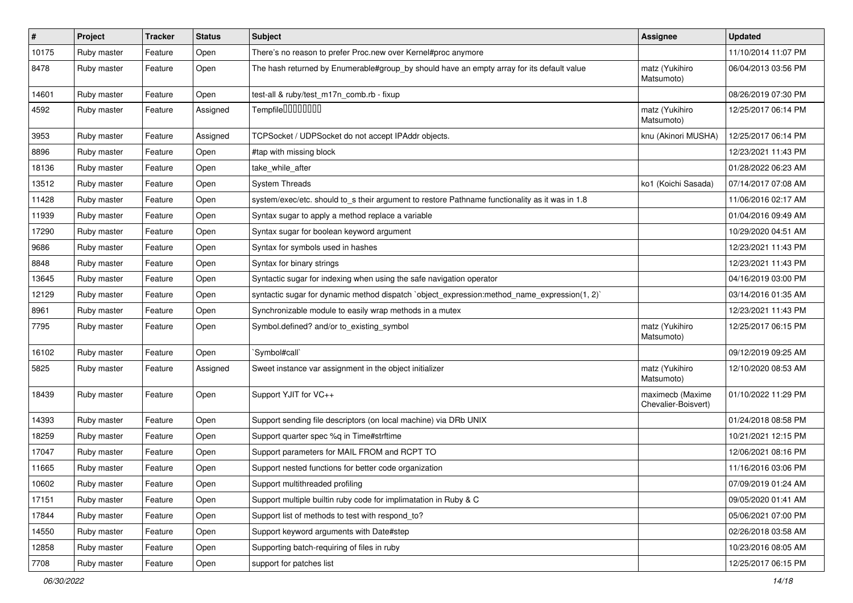| $\pmb{\#}$ | Project     | <b>Tracker</b> | <b>Status</b> | Subject                                                                                        | Assignee                                | <b>Updated</b>      |
|------------|-------------|----------------|---------------|------------------------------------------------------------------------------------------------|-----------------------------------------|---------------------|
| 10175      | Ruby master | Feature        | Open          | There's no reason to prefer Proc.new over Kernel#proc anymore                                  |                                         | 11/10/2014 11:07 PM |
| 8478       | Ruby master | Feature        | Open          | The hash returned by Enumerable#group_by should have an empty array for its default value      | matz (Yukihiro<br>Matsumoto)            | 06/04/2013 03:56 PM |
| 14601      | Ruby master | Feature        | Open          | test-all & ruby/test_m17n_comb.rb - fixup                                                      |                                         | 08/26/2019 07:30 PM |
| 4592       | Ruby master | Feature        | Assigned      | Tempfile0000000                                                                                | matz (Yukihiro<br>Matsumoto)            | 12/25/2017 06:14 PM |
| 3953       | Ruby master | Feature        | Assigned      | TCPSocket / UDPSocket do not accept IPAddr objects.                                            | knu (Akinori MUSHA)                     | 12/25/2017 06:14 PM |
| 8896       | Ruby master | Feature        | Open          | #tap with missing block                                                                        |                                         | 12/23/2021 11:43 PM |
| 18136      | Ruby master | Feature        | Open          | take while after                                                                               |                                         | 01/28/2022 06:23 AM |
| 13512      | Ruby master | Feature        | Open          | <b>System Threads</b>                                                                          | ko1 (Koichi Sasada)                     | 07/14/2017 07:08 AM |
| 11428      | Ruby master | Feature        | Open          | system/exec/etc. should to_s their argument to restore Pathname functionality as it was in 1.8 |                                         | 11/06/2016 02:17 AM |
| 11939      | Ruby master | Feature        | Open          | Syntax sugar to apply a method replace a variable                                              |                                         | 01/04/2016 09:49 AM |
| 17290      | Ruby master | Feature        | Open          | Syntax sugar for boolean keyword argument                                                      |                                         | 10/29/2020 04:51 AM |
| 9686       | Ruby master | Feature        | Open          | Syntax for symbols used in hashes                                                              |                                         | 12/23/2021 11:43 PM |
| 8848       | Ruby master | Feature        | Open          | Syntax for binary strings                                                                      |                                         | 12/23/2021 11:43 PM |
| 13645      | Ruby master | Feature        | Open          | Syntactic sugar for indexing when using the safe navigation operator                           |                                         | 04/16/2019 03:00 PM |
| 12129      | Ruby master | Feature        | Open          | syntactic sugar for dynamic method dispatch `object_expression:method_name_expression(1, 2)`   |                                         | 03/14/2016 01:35 AM |
| 8961       | Ruby master | Feature        | Open          | Synchronizable module to easily wrap methods in a mutex                                        |                                         | 12/23/2021 11:43 PM |
| 7795       | Ruby master | Feature        | Open          | Symbol.defined? and/or to_existing_symbol                                                      | matz (Yukihiro<br>Matsumoto)            | 12/25/2017 06:15 PM |
| 16102      | Ruby master | Feature        | Open          | 'Symbol#call'                                                                                  |                                         | 09/12/2019 09:25 AM |
| 5825       | Ruby master | Feature        | Assigned      | Sweet instance var assignment in the object initializer                                        | matz (Yukihiro<br>Matsumoto)            | 12/10/2020 08:53 AM |
| 18439      | Ruby master | Feature        | Open          | Support YJIT for VC++                                                                          | maximecb (Maxime<br>Chevalier-Boisvert) | 01/10/2022 11:29 PM |
| 14393      | Ruby master | Feature        | Open          | Support sending file descriptors (on local machine) via DRb UNIX                               |                                         | 01/24/2018 08:58 PM |
| 18259      | Ruby master | Feature        | Open          | Support quarter spec %q in Time#strftime                                                       |                                         | 10/21/2021 12:15 PM |
| 17047      | Ruby master | Feature        | Open          | Support parameters for MAIL FROM and RCPT TO                                                   |                                         | 12/06/2021 08:16 PM |
| 11665      | Ruby master | Feature        | Open          | Support nested functions for better code organization                                          |                                         | 11/16/2016 03:06 PM |
| 10602      | Ruby master | Feature        | Open          | Support multithreaded profiling                                                                |                                         | 07/09/2019 01:24 AM |
| 17151      | Ruby master | Feature        | Open          | Support multiple builtin ruby code for implimatation in Ruby & C                               |                                         | 09/05/2020 01:41 AM |
| 17844      | Ruby master | Feature        | Open          | Support list of methods to test with respond_to?                                               |                                         | 05/06/2021 07:00 PM |
| 14550      | Ruby master | Feature        | Open          | Support keyword arguments with Date#step                                                       |                                         | 02/26/2018 03:58 AM |
| 12858      | Ruby master | Feature        | Open          | Supporting batch-requiring of files in ruby                                                    |                                         | 10/23/2016 08:05 AM |
| 7708       | Ruby master | Feature        | Open          | support for patches list                                                                       |                                         | 12/25/2017 06:15 PM |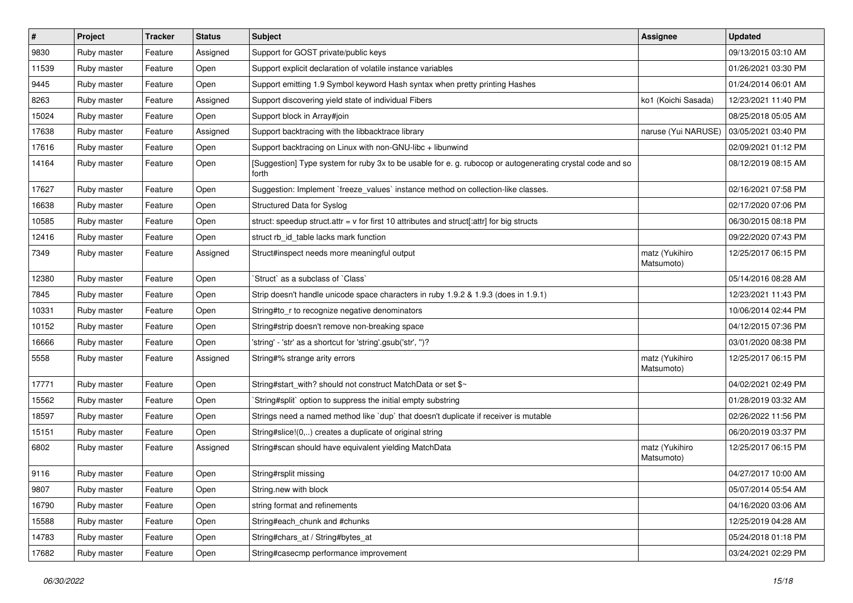| $\vert$ # | Project     | <b>Tracker</b> | <b>Status</b> | Subject                                                                                                            | Assignee                     | <b>Updated</b>      |
|-----------|-------------|----------------|---------------|--------------------------------------------------------------------------------------------------------------------|------------------------------|---------------------|
| 9830      | Ruby master | Feature        | Assigned      | Support for GOST private/public keys                                                                               |                              | 09/13/2015 03:10 AM |
| 11539     | Ruby master | Feature        | Open          | Support explicit declaration of volatile instance variables                                                        |                              | 01/26/2021 03:30 PM |
| 9445      | Ruby master | Feature        | Open          | Support emitting 1.9 Symbol keyword Hash syntax when pretty printing Hashes                                        |                              | 01/24/2014 06:01 AM |
| 8263      | Ruby master | Feature        | Assigned      | Support discovering yield state of individual Fibers                                                               | ko1 (Koichi Sasada)          | 12/23/2021 11:40 PM |
| 15024     | Ruby master | Feature        | Open          | Support block in Array#join                                                                                        |                              | 08/25/2018 05:05 AM |
| 17638     | Ruby master | Feature        | Assigned      | Support backtracing with the libbacktrace library                                                                  | naruse (Yui NARUSE)          | 03/05/2021 03:40 PM |
| 17616     | Ruby master | Feature        | Open          | Support backtracing on Linux with non-GNU-libc + libunwind                                                         |                              | 02/09/2021 01:12 PM |
| 14164     | Ruby master | Feature        | Open          | [Suggestion] Type system for ruby 3x to be usable for e. g. rubocop or autogenerating crystal code and so<br>forth |                              | 08/12/2019 08:15 AM |
| 17627     | Ruby master | Feature        | Open          | Suggestion: Implement `freeze_values` instance method on collection-like classes.                                  |                              | 02/16/2021 07:58 PM |
| 16638     | Ruby master | Feature        | Open          | Structured Data for Syslog                                                                                         |                              | 02/17/2020 07:06 PM |
| 10585     | Ruby master | Feature        | Open          | struct: speedup struct.attr = $v$ for first 10 attributes and struct[:attr] for big structs                        |                              | 06/30/2015 08:18 PM |
| 12416     | Ruby master | Feature        | Open          | struct rb_id_table lacks mark function                                                                             |                              | 09/22/2020 07:43 PM |
| 7349      | Ruby master | Feature        | Assigned      | Struct#inspect needs more meaningful output                                                                        | matz (Yukihiro<br>Matsumoto) | 12/25/2017 06:15 PM |
| 12380     | Ruby master | Feature        | Open          | 'Struct' as a subclass of 'Class'                                                                                  |                              | 05/14/2016 08:28 AM |
| 7845      | Ruby master | Feature        | Open          | Strip doesn't handle unicode space characters in ruby 1.9.2 & 1.9.3 (does in 1.9.1)                                |                              | 12/23/2021 11:43 PM |
| 10331     | Ruby master | Feature        | Open          | String#to_r to recognize negative denominators                                                                     |                              | 10/06/2014 02:44 PM |
| 10152     | Ruby master | Feature        | Open          | String#strip doesn't remove non-breaking space                                                                     |                              | 04/12/2015 07:36 PM |
| 16666     | Ruby master | Feature        | Open          | 'string' - 'str' as a shortcut for 'string'.gsub('str', ")?                                                        |                              | 03/01/2020 08:38 PM |
| 5558      | Ruby master | Feature        | Assigned      | String#% strange arity errors                                                                                      | matz (Yukihiro<br>Matsumoto) | 12/25/2017 06:15 PM |
| 17771     | Ruby master | Feature        | Open          | String#start_with? should not construct MatchData or set \$~                                                       |                              | 04/02/2021 02:49 PM |
| 15562     | Ruby master | Feature        | Open          | String#split` option to suppress the initial empty substring                                                       |                              | 01/28/2019 03:32 AM |
| 18597     | Ruby master | Feature        | Open          | Strings need a named method like 'dup' that doesn't duplicate if receiver is mutable                               |                              | 02/26/2022 11:56 PM |
| 15151     | Ruby master | Feature        | Open          | String#slice!(0,) creates a duplicate of original string                                                           |                              | 06/20/2019 03:37 PM |
| 6802      | Ruby master | Feature        | Assigned      | String#scan should have equivalent yielding MatchData                                                              | matz (Yukihiro<br>Matsumoto) | 12/25/2017 06:15 PM |
| 9116      | Ruby master | Feature        | Open          | String#rsplit missing                                                                                              |                              | 04/27/2017 10:00 AM |
| 9807      | Ruby master | Feature        | Open          | String.new with block                                                                                              |                              | 05/07/2014 05:54 AM |
| 16790     | Ruby master | Feature        | Open          | string format and refinements                                                                                      |                              | 04/16/2020 03:06 AM |
| 15588     | Ruby master | Feature        | Open          | String#each chunk and #chunks                                                                                      |                              | 12/25/2019 04:28 AM |
| 14783     | Ruby master | Feature        | Open          | String#chars_at / String#bytes_at                                                                                  |                              | 05/24/2018 01:18 PM |
| 17682     | Ruby master | Feature        | Open          | String#casecmp performance improvement                                                                             |                              | 03/24/2021 02:29 PM |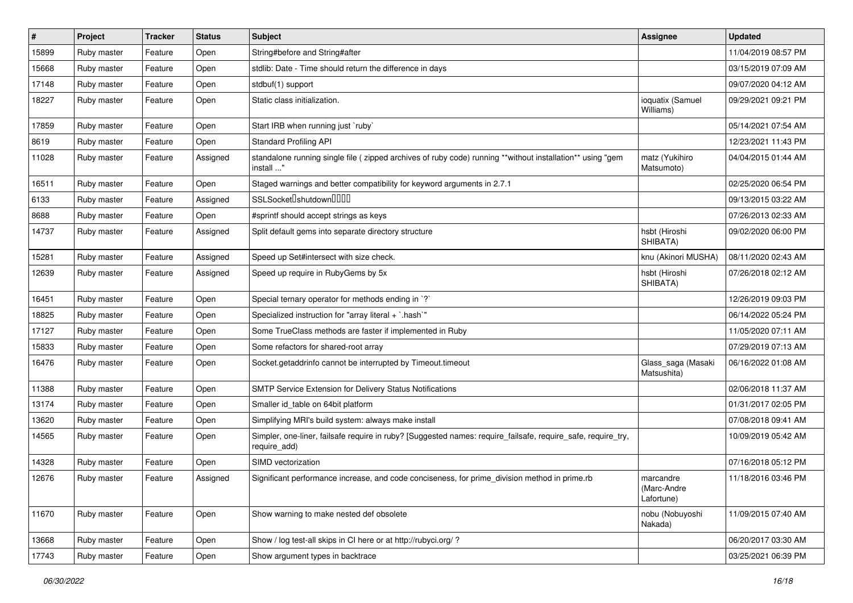| ∦     | Project     | <b>Tracker</b> | <b>Status</b> | Subject                                                                                                                      | <b>Assignee</b>                        | <b>Updated</b>      |
|-------|-------------|----------------|---------------|------------------------------------------------------------------------------------------------------------------------------|----------------------------------------|---------------------|
| 15899 | Ruby master | Feature        | Open          | String#before and String#after                                                                                               |                                        | 11/04/2019 08:57 PM |
| 15668 | Ruby master | Feature        | Open          | stdlib: Date - Time should return the difference in days                                                                     |                                        | 03/15/2019 07:09 AM |
| 17148 | Ruby master | Feature        | Open          | stdbuf(1) support                                                                                                            |                                        | 09/07/2020 04:12 AM |
| 18227 | Ruby master | Feature        | Open          | Static class initialization.                                                                                                 | ioquatix (Samuel<br>Williams)          | 09/29/2021 09:21 PM |
| 17859 | Ruby master | Feature        | Open          | Start IRB when running just `ruby`                                                                                           |                                        | 05/14/2021 07:54 AM |
| 8619  | Ruby master | Feature        | Open          | <b>Standard Profiling API</b>                                                                                                |                                        | 12/23/2021 11:43 PM |
| 11028 | Ruby master | Feature        | Assigned      | standalone running single file ( zipped archives of ruby code) running **without installation** using "gem<br>install "      | matz (Yukihiro<br>Matsumoto)           | 04/04/2015 01:44 AM |
| 16511 | Ruby master | Feature        | Open          | Staged warnings and better compatibility for keyword arguments in 2.7.1                                                      |                                        | 02/25/2020 06:54 PM |
| 6133  | Ruby master | Feature        | Assigned      | SSLSocketlshutdownllllll                                                                                                     |                                        | 09/13/2015 03:22 AM |
| 8688  | Ruby master | Feature        | Open          | #sprintf should accept strings as keys                                                                                       |                                        | 07/26/2013 02:33 AM |
| 14737 | Ruby master | Feature        | Assigned      | Split default gems into separate directory structure                                                                         | hsbt (Hiroshi<br>SHIBATA)              | 09/02/2020 06:00 PM |
| 15281 | Ruby master | Feature        | Assigned      | Speed up Set#intersect with size check.                                                                                      | knu (Akinori MUSHA)                    | 08/11/2020 02:43 AM |
| 12639 | Ruby master | Feature        | Assigned      | Speed up require in RubyGems by 5x                                                                                           | hsbt (Hiroshi<br>SHIBATA)              | 07/26/2018 02:12 AM |
| 16451 | Ruby master | Feature        | Open          | Special ternary operator for methods ending in `?`                                                                           |                                        | 12/26/2019 09:03 PM |
| 18825 | Ruby master | Feature        | Open          | Specialized instruction for "array literal + `.hash`"                                                                        |                                        | 06/14/2022 05:24 PM |
| 17127 | Ruby master | Feature        | Open          | Some TrueClass methods are faster if implemented in Ruby                                                                     |                                        | 11/05/2020 07:11 AM |
| 15833 | Ruby master | Feature        | Open          | Some refactors for shared-root array                                                                                         |                                        | 07/29/2019 07:13 AM |
| 16476 | Ruby master | Feature        | Open          | Socket.getaddrinfo cannot be interrupted by Timeout.timeout                                                                  | Glass_saga (Masaki<br>Matsushita)      | 06/16/2022 01:08 AM |
| 11388 | Ruby master | Feature        | Open          | SMTP Service Extension for Delivery Status Notifications                                                                     |                                        | 02/06/2018 11:37 AM |
| 13174 | Ruby master | Feature        | Open          | Smaller id table on 64bit platform                                                                                           |                                        | 01/31/2017 02:05 PM |
| 13620 | Ruby master | Feature        | Open          | Simplifying MRI's build system: always make install                                                                          |                                        | 07/08/2018 09:41 AM |
| 14565 | Ruby master | Feature        | Open          | Simpler, one-liner, failsafe require in ruby? [Suggested names: require_failsafe, require_safe, require_try,<br>require_add) |                                        | 10/09/2019 05:42 AM |
| 14328 | Ruby master | Feature        | Open          | SIMD vectorization                                                                                                           |                                        | 07/16/2018 05:12 PM |
| 12676 | Ruby master | Feature        | Assigned      | Significant performance increase, and code conciseness, for prime_division method in prime.rb                                | marcandre<br>(Marc-Andre<br>Lafortune) | 11/18/2016 03:46 PM |
| 11670 | Ruby master | Feature        | Open          | Show warning to make nested def obsolete                                                                                     | nobu (Nobuyoshi<br>Nakada)             | 11/09/2015 07:40 AM |
| 13668 | Ruby master | Feature        | Open          | Show / log test-all skips in CI here or at http://rubyci.org/?                                                               |                                        | 06/20/2017 03:30 AM |
| 17743 | Ruby master | Feature        | Open          | Show argument types in backtrace                                                                                             |                                        | 03/25/2021 06:39 PM |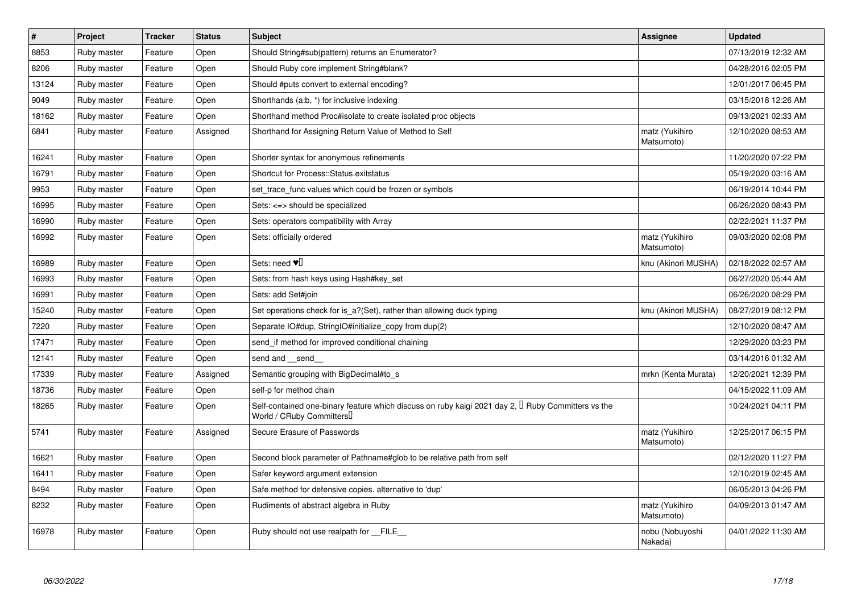| $\vert$ # | Project     | <b>Tracker</b> | <b>Status</b> | <b>Subject</b>                                                                                                                      | Assignee                     | <b>Updated</b>      |
|-----------|-------------|----------------|---------------|-------------------------------------------------------------------------------------------------------------------------------------|------------------------------|---------------------|
| 8853      | Ruby master | Feature        | Open          | Should String#sub(pattern) returns an Enumerator?                                                                                   |                              | 07/13/2019 12:32 AM |
| 8206      | Ruby master | Feature        | Open          | Should Ruby core implement String#blank?                                                                                            |                              | 04/28/2016 02:05 PM |
| 13124     | Ruby master | Feature        | Open          | Should #puts convert to external encoding?                                                                                          |                              | 12/01/2017 06:45 PM |
| 9049      | Ruby master | Feature        | Open          | Shorthands (a:b, *) for inclusive indexing                                                                                          |                              | 03/15/2018 12:26 AM |
| 18162     | Ruby master | Feature        | Open          | Shorthand method Proc#isolate to create isolated proc objects                                                                       |                              | 09/13/2021 02:33 AM |
| 6841      | Ruby master | Feature        | Assigned      | Shorthand for Assigning Return Value of Method to Self                                                                              | matz (Yukihiro<br>Matsumoto) | 12/10/2020 08:53 AM |
| 16241     | Ruby master | Feature        | Open          | Shorter syntax for anonymous refinements                                                                                            |                              | 11/20/2020 07:22 PM |
| 16791     | Ruby master | Feature        | Open          | Shortcut for Process::Status.exitstatus                                                                                             |                              | 05/19/2020 03:16 AM |
| 9953      | Ruby master | Feature        | Open          | set trace func values which could be frozen or symbols                                                                              |                              | 06/19/2014 10:44 PM |
| 16995     | Ruby master | Feature        | Open          | Sets: <=> should be specialized                                                                                                     |                              | 06/26/2020 08:43 PM |
| 16990     | Ruby master | Feature        | Open          | Sets: operators compatibility with Array                                                                                            |                              | 02/22/2021 11:37 PM |
| 16992     | Ruby master | Feature        | Open          | Sets: officially ordered                                                                                                            | matz (Yukihiro<br>Matsumoto) | 09/03/2020 02:08 PM |
| 16989     | Ruby master | Feature        | Open          | Sets: need $\Psi$                                                                                                                   | knu (Akinori MUSHA)          | 02/18/2022 02:57 AM |
| 16993     | Ruby master | Feature        | Open          | Sets: from hash keys using Hash#key set                                                                                             |                              | 06/27/2020 05:44 AM |
| 16991     | Ruby master | Feature        | Open          | Sets: add Set#join                                                                                                                  |                              | 06/26/2020 08:29 PM |
| 15240     | Ruby master | Feature        | Open          | Set operations check for is_a?(Set), rather than allowing duck typing                                                               | knu (Akinori MUSHA)          | 08/27/2019 08:12 PM |
| 7220      | Ruby master | Feature        | Open          | Separate IO#dup, StringIO#initialize_copy from dup(2)                                                                               |                              | 12/10/2020 08:47 AM |
| 17471     | Ruby master | Feature        | Open          | send_if method for improved conditional chaining                                                                                    |                              | 12/29/2020 03:23 PM |
| 12141     | Ruby master | Feature        | Open          | send and send                                                                                                                       |                              | 03/14/2016 01:32 AM |
| 17339     | Ruby master | Feature        | Assigned      | Semantic grouping with BigDecimal#to s                                                                                              | mrkn (Kenta Murata)          | 12/20/2021 12:39 PM |
| 18736     | Ruby master | Feature        | Open          | self-p for method chain                                                                                                             |                              | 04/15/2022 11:09 AM |
| 18265     | Ruby master | Feature        | Open          | Self-contained one-binary feature which discuss on ruby kaigi 2021 day 2, $\Box$ Ruby Committers vs the<br>World / CRuby Committers |                              | 10/24/2021 04:11 PM |
| 5741      | Ruby master | Feature        | Assigned      | Secure Erasure of Passwords                                                                                                         | matz (Yukihiro<br>Matsumoto) | 12/25/2017 06:15 PM |
| 16621     | Ruby master | Feature        | Open          | Second block parameter of Pathname#glob to be relative path from self                                                               |                              | 02/12/2020 11:27 PM |
| 16411     | Ruby master | Feature        | Open          | Safer keyword argument extension                                                                                                    |                              | 12/10/2019 02:45 AM |
| 8494      | Ruby master | Feature        | Open          | Safe method for defensive copies. alternative to 'dup'                                                                              |                              | 06/05/2013 04:26 PM |
| 8232      | Ruby master | Feature        | Open          | Rudiments of abstract algebra in Ruby                                                                                               | matz (Yukihiro<br>Matsumoto) | 04/09/2013 01:47 AM |
| 16978     | Ruby master | Feature        | Open          | Ruby should not use realpath for __FILE__                                                                                           | nobu (Nobuyoshi<br>Nakada)   | 04/01/2022 11:30 AM |